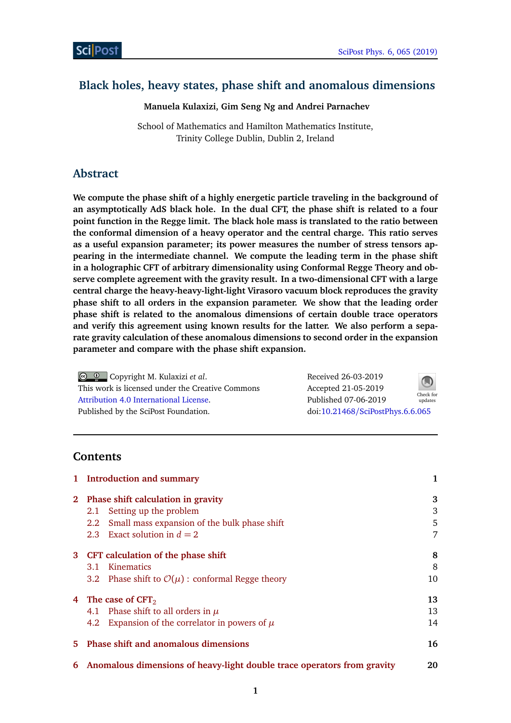# **Black holes, heavy states, phase shift and anomalous dimensions**

**Manuela Kulaxizi, Gim Seng Ng and Andrei Parnachev**

School of Mathematics and Hamilton Mathematics Institute, Trinity College Dublin, Dublin 2, Ireland

# **Abstract**

**We compute the phase shift of a highly energetic particle traveling in the background of an asymptotically AdS black hole. In the dual CFT, the phase shift is related to a four point function in the Regge limit. The black hole mass is translated to the ratio between the conformal dimension of a heavy operator and the central charge. This ratio serves as a useful expansion parameter; its power measures the number of stress tensors appearing in the intermediate channel. We compute the leading term in the phase shift in a holographic CFT of arbitrary dimensionality using Conformal Regge Theory and observe complete agreement with the gravity result. In a two-dimensional CFT with a large central charge the heavy-heavy-light-light Virasoro vacuum block reproduces the gravity phase shift to all orders in the expansion parameter. We show that the leading order phase shift is related to the anomalous dimensions of certain double trace operators and verify this agreement using known results for the latter. We also perform a separate gravity calculation of these anomalous dimensions to second order in the expansion parameter and compare with the phase shift expansion.**

| $\circledcirc$ $\circledcirc$ Copyright M. Kulaxizi et al. | Received 26-03-2019              | $\bigcirc$           |
|------------------------------------------------------------|----------------------------------|----------------------|
| This work is licensed under the Creative Commons           | Accepted 21-05-2019              |                      |
| Attribution 4.0 International License.                     | Published 07-06-2019             | Check for<br>updates |
| Published by the SciPost Foundation.                       | doi:10.21468/SciPostPhys.6.6.065 |                      |

## **Contents**

|             | 1 Introduction and summary                                                | 1  |
|-------------|---------------------------------------------------------------------------|----|
| $2^{\circ}$ | Phase shift calculation in gravity                                        | 3  |
|             | 2.1 Setting up the problem                                                | 3  |
|             | 2.2 Small mass expansion of the bulk phase shift                          | 5  |
|             | 2.3 Exact solution in $d = 2$                                             | 7  |
|             | 3 CFT calculation of the phase shift                                      | 8  |
|             | 3.1 Kinematics                                                            | 8  |
|             | 3.2 Phase shift to $\mathcal{O}(\mu)$ : conformal Regge theory            | 10 |
|             | 4 The case of $CFT2$                                                      | 13 |
|             | 4.1 Phase shift to all orders in $\mu$                                    | 13 |
|             | 4.2 Expansion of the correlator in powers of $\mu$                        | 14 |
|             | 5 Phase shift and anomalous dimensions                                    | 16 |
|             | 6 Anomalous dimensions of heavy-light double trace operators from gravity | 20 |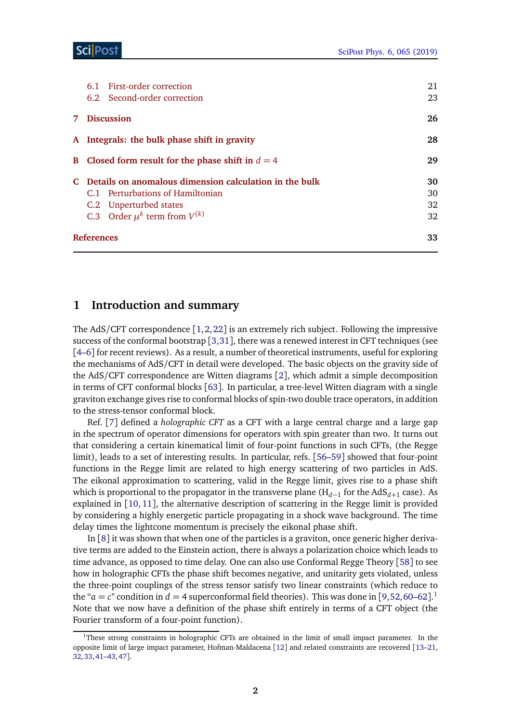| 6.1 First-order correction                               | 21 |
|----------------------------------------------------------|----|
| 6.2 Second-order correction                              | 23 |
| 7 Discussion                                             | 26 |
| A Integrals: the bulk phase shift in gravity             | 28 |
| B Closed form result for the phase shift in $d = 4$      | 29 |
| C Details on anomalous dimension calculation in the bulk | 30 |
| C.1 Perturbations of Hamiltonian                         | 30 |
| C.2 Unperturbed states                                   | 32 |
| C.3 Order $\mu^k$ term from $V^{(k)}$                    | 32 |
| <b>References</b>                                        | 33 |
|                                                          |    |

# <span id="page-1-0"></span>**1 Introduction and summary**

The AdS/CFT correspondence [[1,](#page-33-0)[2,](#page-33-1)[22](#page-34-0)] is an extremely rich subject. Following the impressive success of the conformal bootstrap  $[3,31]$  $[3,31]$  $[3,31]$  $[3,31]$ , there was a renewed interest in CFT techniques (see [[4](#page-33-3)[–6](#page-33-4)] for recent reviews). As a result, a number of theoretical instruments, useful for exploring the mechanisms of AdS/CFT in detail were developed. The basic objects on the gravity side of the AdS/CFT correspondence are Witten diagrams [[2](#page-33-1)], which admit a simple decomposition in terms of CFT conformal blocks [[63](#page-36-0)]. In particular, a tree-level Witten diagram with a single graviton exchange gives rise to conformal blocks of spin-two double trace operators, in addition to the stress-tensor conformal block.

Ref. [[7](#page-33-5)] defined a *holographic CFT* as a CFT with a large central charge and a large gap in the spectrum of operator dimensions for operators with spin greater than two. It turns out that considering a certain kinematical limit of four-point functions in such CFTs, (the Regge limit), leads to a set of interesting results. In particular, refs. [[56–](#page-36-1)[59](#page-36-2)] showed that four-point functions in the Regge limit are related to high energy scattering of two particles in AdS. The eikonal approximation to scattering, valid in the Regge limit, gives rise to a phase shift which is proportional to the propagator in the transverse plane (H*d*−<sup>1</sup> for the AdS*d*+<sup>1</sup> case). As explained in [[10,](#page-33-6) [11](#page-33-7)], the alternative description of scattering in the Regge limit is provided by considering a highly energetic particle propagating in a shock wave background. The time delay times the lightcone momentum is precisely the eikonal phase shift.

In [[8](#page-33-8)] it was shown that when one of the particles is a graviton, once generic higher derivative terms are added to the Einstein action, there is always a polarization choice which leads to time advance, as opposed to time delay. One can also use Conformal Regge Theory [[58](#page-36-3)] to see how in holographic CFTs the phase shift becomes negative, and unitarity gets violated, unless the three-point couplings of the stress tensor satisfy two linear constraints (which reduce to the " $a = c$ " condition in  $d = 4$  superconformal field theories). This was done in [[9,](#page-33-9)[52,](#page-36-4)[60](#page-36-5)[–62](#page-36-6)].<sup>[1](#page-1-1)</sup> Note that we now have a definition of the phase shift entirely in terms of a CFT object (the Fourier transform of a four-point function).

<span id="page-1-1"></span><sup>&</sup>lt;sup>1</sup>These strong constraints in holographic CFTs are obtained in the limit of small impact parameter. In the opposite limit of large impact parameter, Hofman-Maldacena [[12](#page-33-10)] and related constraints are recovered [[13](#page-33-11)[–21,](#page-34-2) [32,](#page-34-3)[33,](#page-34-4)[41–](#page-35-0)[43,](#page-35-1)[47](#page-35-2)].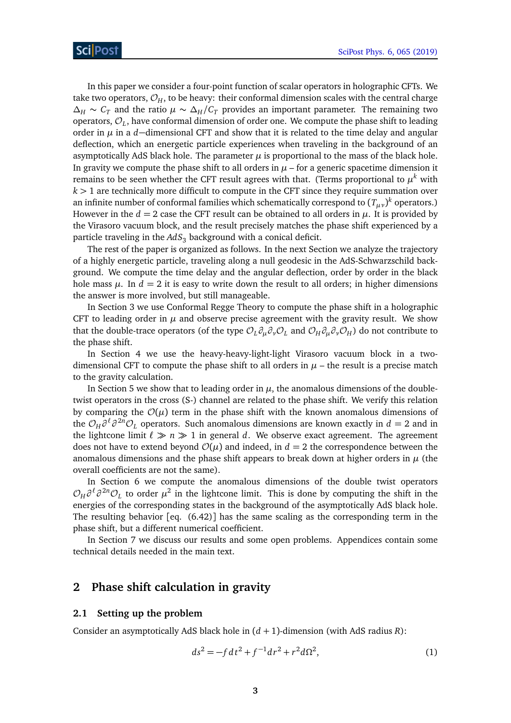In this paper we consider a four-point function of scalar operators in holographic CFTs. We take two operators,  $\mathcal{O}_H$ , to be heavy: their conformal dimension scales with the central charge  $\Delta_H \sim C_T$  and the ratio  $\mu \sim \Delta_H/C_T$  provides an important parameter. The remaining two operators,  $\mathcal{O}_L$ , have conformal dimension of order one. We compute the phase shift to leading order in *µ* in a *d*−dimensional CFT and show that it is related to the time delay and angular deflection, which an energetic particle experiences when traveling in the background of an asymptotically AdS black hole. The parameter *µ* is proportional to the mass of the black hole. In gravity we compute the phase shift to all orders in  $\mu$  – for a generic spacetime dimension it remains to be seen whether the CFT result agrees with that. (Terms proportional to  $\mu^k$  with *k >* 1 are technically more difficult to compute in the CFT since they require summation over an infinite number of conformal families which schematically correspond to  $(T_{\mu\nu})^k$  operators.) However in the  $d = 2$  case the CFT result can be obtained to all orders in  $\mu$ . It is provided by the Virasoro vacuum block, and the result precisely matches the phase shift experienced by a particle traveling in the *AdS*<sup>3</sup> background with a conical deficit.

The rest of the paper is organized as follows. In the next Section we analyze the trajectory of a highly energetic particle, traveling along a null geodesic in the AdS-Schwarzschild background. We compute the time delay and the angular deflection, order by order in the black hole mass  $\mu$ . In  $d = 2$  it is easy to write down the result to all orders; in higher dimensions the answer is more involved, but still manageable.

In Section 3 we use Conformal Regge Theory to compute the phase shift in a holographic CFT to leading order in  $\mu$  and observe precise agreement with the gravity result. We show that the double-trace operators (of the type  $\mathcal{O}_L \partial_\mu \partial_\nu \mathcal{O}_L$  and  $\mathcal{O}_H \partial_\mu \partial_\nu \mathcal{O}_H$ ) do not contribute to the phase shift.

In Section 4 we use the heavy-heavy-light-light Virasoro vacuum block in a twodimensional CFT to compute the phase shift to all orders in  $\mu$  – the result is a precise match to the gravity calculation.

In Section 5 we show that to leading order in  $\mu$ , the anomalous dimensions of the doubletwist operators in the cross (S-) channel are related to the phase shift. We verify this relation by comparing the  $\mathcal{O}(\mu)$  term in the phase shift with the known anomalous dimensions of the  $\mathcal{O}_H\partial^{\ell}\partial^{2n}\mathcal{O}_L$  operators. Such anomalous dimensions are known exactly in  $d=2$  and in the lightcone limit  $\ell \gg n \gg 1$  in general *d*. We observe exact agreement. The agreement does not have to extend beyond  $\mathcal{O}(\mu)$  and indeed, in  $d = 2$  the correspondence between the anomalous dimensions and the phase shift appears to break down at higher orders in  $\mu$  (the overall coefficients are not the same).

In Section 6 we compute the anomalous dimensions of the double twist operators  $\mathcal{O}_H\partial^{\ell}\partial^{2n}\mathcal{O}_L$  to order  $\mu^2$  in the lightcone limit. This is done by computing the shift in the energies of the corresponding states in the background of the asymptotically AdS black hole. The resulting behavior  $[eq. (6.42)]$  has the same scaling as the corresponding term in the phase shift, but a different numerical coefficient.

In Section 7 we discuss our results and some open problems. Appendices contain some technical details needed in the main text.

# <span id="page-2-0"></span>**2 Phase shift calculation in gravity**

#### <span id="page-2-1"></span>**2.1 Setting up the problem**

Consider an asymptotically AdS black hole in (*d* + 1)-dimension (with AdS radius *R*):

<span id="page-2-2"></span>
$$
ds^2 = -f dt^2 + f^{-1} dr^2 + r^2 d\Omega^2,
$$
 (1)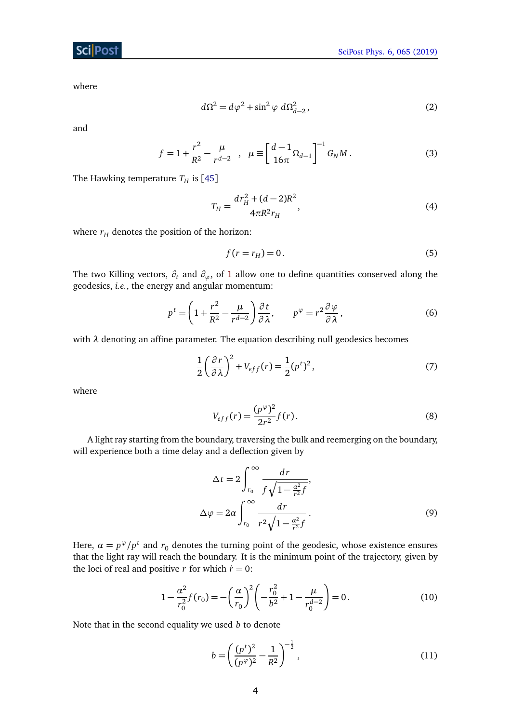where

$$
d\Omega^2 = d\varphi^2 + \sin^2 \varphi \ d\Omega_{d-2}^2, \qquad (2)
$$

and

$$
f = 1 + \frac{r^2}{R^2} - \frac{\mu}{r^{d-2}} \quad , \quad \mu \equiv \left[ \frac{d-1}{16\pi} \Omega_{d-1} \right]^{-1} G_N M \,. \tag{3}
$$

The Hawking temperature  $T_H$  is [[45](#page-35-3)]

<span id="page-3-3"></span>
$$
T_H = \frac{dr_H^2 + (d-2)R^2}{4\pi R^2 r_H},\tag{4}
$$

where  $r_H$  denotes the position of the horizon:

$$
f(r = r_H) = 0. \tag{5}
$$

The two Killing vectors, *∂<sup>t</sup>* and *∂ϕ*, of [1](#page-2-2) allow one to define quantities conserved along the geodesics, *i.e.*, the energy and angular momentum:

$$
p^{t} = \left(1 + \frac{r^{2}}{R^{2}} - \frac{\mu}{r^{d-2}}\right) \frac{\partial t}{\partial \lambda}, \qquad p^{\varphi} = r^{2} \frac{\partial \varphi}{\partial \lambda},
$$
 (6)

with  $\lambda$  denoting an affine parameter. The equation describing null geodesics becomes

$$
\frac{1}{2}\left(\frac{\partial r}{\partial \lambda}\right)^2 + V_{eff}(r) = \frac{1}{2}(p^t)^2,
$$
\n(7)

where

$$
V_{eff}(r) = \frac{(p^{\varphi})^2}{2r^2} f(r).
$$
 (8)

A light ray starting from the boundary, traversing the bulk and reemerging on the boundary, will experience both a time delay and a deflection given by

<span id="page-3-2"></span>
$$
\Delta t = 2 \int_{r_0}^{\infty} \frac{dr}{f \sqrt{1 - \frac{\alpha^2}{r^2} f}},
$$
  

$$
\Delta \varphi = 2\alpha \int_{r_0}^{\infty} \frac{dr}{r^2 \sqrt{1 - \frac{\alpha^2}{r^2} f}}.
$$
 (9)

Here,  $\alpha = p^{\varphi}/p^t$  and  $r_0$  denotes the turning point of the geodesic, whose existence ensures that the light ray will reach the boundary. It is the minimum point of the trajectory, given by the loci of real and positive *r* for which  $\dot{r} = 0$ :

$$
1 - \frac{\alpha^2}{r_0^2} f(r_0) = -\left(\frac{\alpha}{r_0}\right)^2 \left(-\frac{r_0^2}{b^2} + 1 - \frac{\mu}{r_0^{d-2}}\right) = 0.
$$
 (10)

Note that in the second equality we used *b* to denote

<span id="page-3-1"></span><span id="page-3-0"></span>
$$
b = \left(\frac{(p^t)^2}{(p^\varphi)^2} - \frac{1}{R^2}\right)^{-\frac{1}{2}},\tag{11}
$$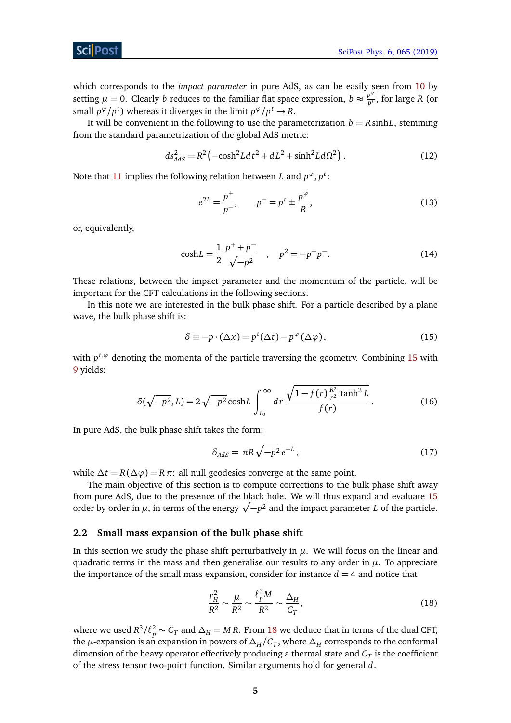which corresponds to the *impact parameter* in pure AdS, as can be easily seen from [10](#page-3-0) by setting  $\mu = 0$ . Clearly *b* reduces to the familiar flat space expression,  $b \approx \frac{p^{\varphi}}{p^t}$  $\frac{p}{p^t}$ , for large *R* (or small  $p^{\varphi}/p^t$ ) whereas it diverges in the limit  $p^{\varphi}/p^t \to R$ .

It will be convenient in the following to use the parameterization  $b = R \sinh L$ , stemming from the standard parametrization of the global AdS metric:

$$
ds_{AdS}^2 = R^2 \left( -\cosh^2 L dt^2 + dL^2 + \sinh^2 L d\Omega^2 \right). \tag{12}
$$

Note that [11](#page-3-1) implies the following relation between *L* and  $p^{\varphi}, p^t$ :

<span id="page-4-3"></span>
$$
e^{2L} = \frac{p^+}{p^-}, \qquad p^{\pm} = p^t \pm \frac{p^{\varphi}}{R}, \tag{13}
$$

or, equivalently,

$$
cosh L = \frac{1}{2} \frac{p^+ + p^-}{\sqrt{-p^2}} \quad , \quad p^2 = -p^+ p^-.
$$
 (14)

These relations, between the impact parameter and the momentum of the particle, will be important for the CFT calculations in the following sections.

In this note we are interested in the bulk phase shift. For a particle described by a plane wave, the bulk phase shift is:

<span id="page-4-1"></span>
$$
\delta \equiv -p \cdot (\Delta x) = p^{t} (\Delta t) - p^{\varphi} (\Delta \varphi), \qquad (15)
$$

with  $p^{t,\varphi}$  denoting the momenta of the particle traversing the geometry. Combining [15](#page-4-1) with [9](#page-3-2) yields:

$$
\delta(\sqrt{-p^2}, L) = 2\sqrt{-p^2} \cosh L \int_{r_0}^{\infty} dr \, \frac{\sqrt{1 - f(r) \frac{R^2}{r^2} \tanh^2 L}}{f(r)} \,. \tag{16}
$$

In pure AdS, the bulk phase shift takes the form:

$$
\delta_{AdS} = \pi R \sqrt{-p^2} e^{-L},\qquad(17)
$$

while  $\Delta t = R(\Delta \varphi) = R \pi$ : all null geodesics converge at the same point.

The main objective of this section is to compute corrections to the bulk phase shift away from pure AdS, due to the presence of the black hole. We will thus expand and evaluate [15](#page-4-1) order by order in  $\mu$ , in terms of the energy  $\sqrt{-p^2}$  and the impact parameter *L* of the particle.

#### <span id="page-4-0"></span>**2.2 Small mass expansion of the bulk phase shift**

In this section we study the phase shift perturbatively in  $\mu$ . We will focus on the linear and quadratic terms in the mass and then generalise our results to any order in  $\mu$ . To appreciate the importance of the small mass expansion, consider for instance  $d = 4$  and notice that

<span id="page-4-2"></span>
$$
\frac{r_H^2}{R^2} \sim \frac{\mu}{R^2} \sim \frac{\ell_p^3 M}{R^2} \sim \frac{\Delta_H}{C_T},\tag{18}
$$

where we used  $R^3 / \ell_p^2 \sim C_T$  and  $\Delta_H = MR$ . From [18](#page-4-2) we deduce that in terms of the dual CFT, the  $\mu$ -expansion is an expansion in powers of  $\Delta_H/C_T^{}$ , where  $\Delta_H^{}$  corresponds to the conformal dimension of the heavy operator effectively producing a thermal state and  $\emph{\emph{C}}_{T}$  is the coefficient of the stress tensor two-point function. Similar arguments hold for general *d*.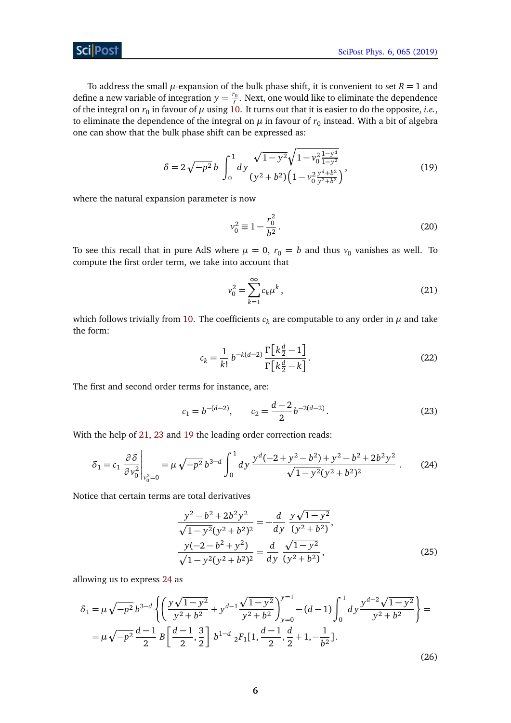## **ScilPost**

To address the small  $\mu$ -expansion of the bulk phase shift, it is convenient to set  $R = 1$  and define a new variable of integration  $y = \frac{r_0}{r}$ . Next, one would like to eliminate the dependence of the integral on  $r_0$  in favour of  $\mu$  using [10.](#page-3-0) It turns out that it is easier to do the opposite, *i.e.*, to eliminate the dependence of the integral on  $\mu$  in favour of  $r_0$  instead. With a bit of algebra one can show that the bulk phase shift can be expressed as:

$$
\delta = 2\sqrt{-p^2} b \int_0^1 dy \frac{\sqrt{1 - y^2} \sqrt{1 - v_0^2 \frac{1 - y^d}{1 - y^2}}}{(y^2 + b^2) \left(1 - v_0^2 \frac{y^d + b^2}{y^2 + b^2}\right)},
$$
\n(19)

where the natural expansion parameter is now

<span id="page-5-5"></span><span id="page-5-2"></span>
$$
v_0^2 \equiv 1 - \frac{r_0^2}{b^2}.
$$
 (20)

To see this recall that in pure AdS where  $\mu = 0$ ,  $r_0 = b$  and thus  $v_0$  vanishes as well. To compute the first order term, we take into account that

<span id="page-5-0"></span>
$$
v_0^2 = \sum_{k=1}^{\infty} c_k \mu^k,
$$
 (21)

which follows trivially from [10.](#page-3-0) The coefficients  $c_k$  are computable to any order in  $\mu$  and take the form:

<span id="page-5-1"></span>
$$
c_k = \frac{1}{k!} b^{-k(d-2)} \frac{\Gamma\left[k\frac{d}{2} - 1\right]}{\Gamma\left[k\frac{d}{2} - k\right]}.
$$
\n(22)

The first and second order terms for instance, are:

<span id="page-5-3"></span>
$$
c_1 = b^{-(d-2)}, \qquad c_2 = \frac{d-2}{2}b^{-2(d-2)}.
$$
\n(23)

With the help of [21,](#page-5-0) [23](#page-5-1) and [19](#page-5-2) the leading order correction reads:

$$
\delta_1 = c_1 \left. \frac{\partial \delta}{\partial v_0^2} \right|_{v_0^2 = 0} = \mu \sqrt{-p^2} b^{3-d} \int_0^1 dy \, \frac{y^d (-2 + y^2 - b^2) + y^2 - b^2 + 2b^2 y^2}{\sqrt{1 - y^2} (y^2 + b^2)^2} \,. \tag{24}
$$

Notice that certain terms are total derivatives

<span id="page-5-4"></span>
$$
\frac{y^2 - b^2 + 2b^2y^2}{\sqrt{1 - y^2}(y^2 + b^2)^2} = -\frac{d}{dy} \frac{y\sqrt{1 - y^2}}{(y^2 + b^2)},
$$
  

$$
\frac{y(-2 - b^2 + y^2)}{\sqrt{1 - y^2}(y^2 + b^2)^2} = \frac{d}{dy} \frac{\sqrt{1 - y^2}}{(y^2 + b^2)},
$$
(25)

allowing us to express [24](#page-5-3) as

$$
\delta_1 = \mu \sqrt{-p^2} b^{3-d} \left\{ \left( \frac{y\sqrt{1-y^2}}{y^2 + b^2} + y^{d-1} \frac{\sqrt{1-y^2}}{y^2 + b^2} \right)_{y=0}^{y=1} - (d-1) \int_0^1 dy \frac{y^{d-2} \sqrt{1-y^2}}{y^2 + b^2} \right\} =
$$
  
=  $\mu \sqrt{-p^2} \frac{d-1}{2} B \left[ \frac{d-1}{2}, \frac{3}{2} \right] b^{1-d} {}_2F_1[1, \frac{d-1}{2}, \frac{d}{2} + 1, -\frac{1}{b^2}].$  (26)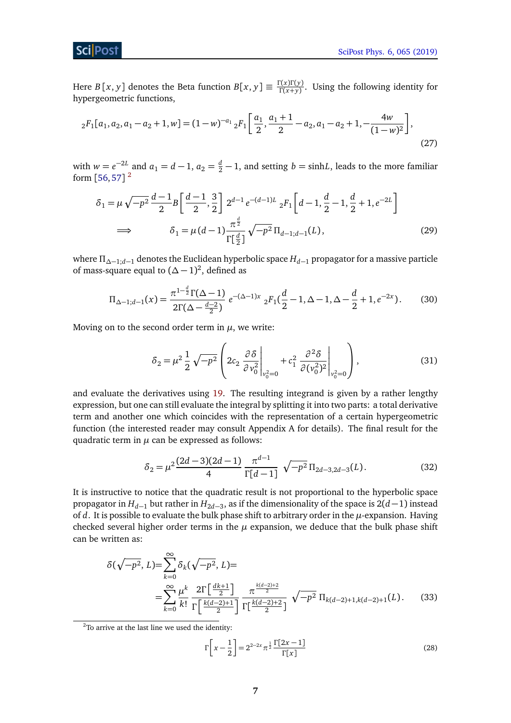### Sci Post

Here *B* [*x*, *y*] denotes the Beta function  $B[x, y] \equiv \frac{\Gamma(x)\Gamma(y)}{\Gamma(x+y)}$  $\frac{\Gamma(x) \Gamma(y)}{\Gamma(x+y)}$ . Using the following identity for hypergeometric functions,

$$
{}_{2}F_{1}[a_{1}, a_{2}, a_{1} - a_{2} + 1, w] = (1 - w)^{-a_{1}} {}_{2}F_{1}\left[\frac{a_{1}}{2}, \frac{a_{1} + 1}{2} - a_{2}, a_{1} - a_{2} + 1, -\frac{4w}{(1 - w)^{2}}\right],
$$
\n(27)

with  $w = e^{-2L}$  and  $a_1 = d - 1$ ,  $a_2 = \frac{d}{2} - 1$ , and setting  $b = \sinh L$ , leads to the more familiar form  $[56,57]$  $[56,57]$  $[56,57]$  $[56,57]$   $^2$  $^2$ 

<span id="page-6-4"></span>
$$
\delta_1 = \mu \sqrt{-p^2} \frac{d-1}{2} B \left[ \frac{d-1}{2}, \frac{3}{2} \right] 2^{d-1} e^{-(d-1)L} {}_2F_1 \left[ d-1, \frac{d}{2} - 1, \frac{d}{2} + 1, e^{-2L} \right]
$$
  

$$
\implies \qquad \delta_1 = \mu (d-1) \frac{\pi^{\frac{d}{2}}}{\Gamma[\frac{d}{2}]} \sqrt{-p^2} \Pi_{d-1; d-1}(L), \tag{29}
$$

where *Π∆*−1;*d*−<sup>1</sup> denotes the Euclidean hyperbolic space *Hd*−<sup>1</sup> propagator for a massive particle of mass-square equal to  $({\Delta} - 1)^2$ , defined as

$$
\Pi_{\Delta-1;d-1}(x) = \frac{\pi^{1-\frac{d}{2}}\Gamma(\Delta-1)}{2\Gamma(\Delta-\frac{d-2}{2})} e^{-(\Delta-1)x} {}_{2}F_{1}(\frac{d}{2}-1,\Delta-1,\Delta-\frac{d}{2}+1,e^{-2x}).
$$
 (30)

Moving on to the second order term in  $\mu$ , we write:

<span id="page-6-3"></span><span id="page-6-2"></span>
$$
\delta_2 = \mu^2 \frac{1}{2} \sqrt{-p^2} \left( 2c_2 \frac{\partial \delta}{\partial v_0^2} \Big|_{v_0^2 = 0} + c_1^2 \frac{\partial^2 \delta}{\partial (v_0^2)^2} \Big|_{v_0^2 = 0} \right),
$$
\n(31)

and evaluate the derivatives using [19.](#page-5-2) The resulting integrand is given by a rather lengthy expression, but one can still evaluate the integral by splitting it into two parts: a total derivative term and another one which coincides with the representation of a certain hypergeometric function (the interested reader may consult Appendix A for details). The final result for the quadratic term in  $\mu$  can be expressed as follows:

$$
\delta_2 = \mu^2 \frac{(2d-3)(2d-1)}{4} \frac{\pi^{d-1}}{\Gamma[d-1]} \sqrt{-p^2} \Pi_{2d-3,2d-3}(L). \tag{32}
$$

It is instructive to notice that the quadratic result is not proportional to the hyperbolic space propagator in *H*<sub>d−1</sub> but rather in *H*<sub>2d−3</sub>, as if the dimensionality of the space is 2(*d* − 1) instead of *d*. It is possible to evaluate the bulk phase shift to arbitrary order in the *µ*-expansion. Having checked several higher order terms in the  $\mu$  expansion, we deduce that the bulk phase shift can be written as:

$$
\delta(\sqrt{-p^2}, L) = \sum_{k=0}^{\infty} \delta_k(\sqrt{-p^2}, L) =
$$
  
= 
$$
\sum_{k=0}^{\infty} \frac{\mu^k}{k!} \frac{2\Gamma\left[\frac{dk+1}{2}\right]}{\Gamma\left[\frac{k(d-2)+1}{2}\right]} \frac{\pi^{\frac{k(d-2)+2}{2}}}{\Gamma\left[\frac{k(d-2)+1}{2}\right]} \sqrt{-p^2} \Pi_{k(d-2)+1,k(d-2)+1}(L).
$$
 (33)

<span id="page-6-0"></span><sup>2</sup>To arrive at the last line we used the identity:

<span id="page-6-1"></span>
$$
\Gamma\left[x - \frac{1}{2}\right] = 2^{2-2x} \pi^{\frac{1}{2}} \frac{\Gamma[2x - 1]}{\Gamma[x]}
$$
\n(28)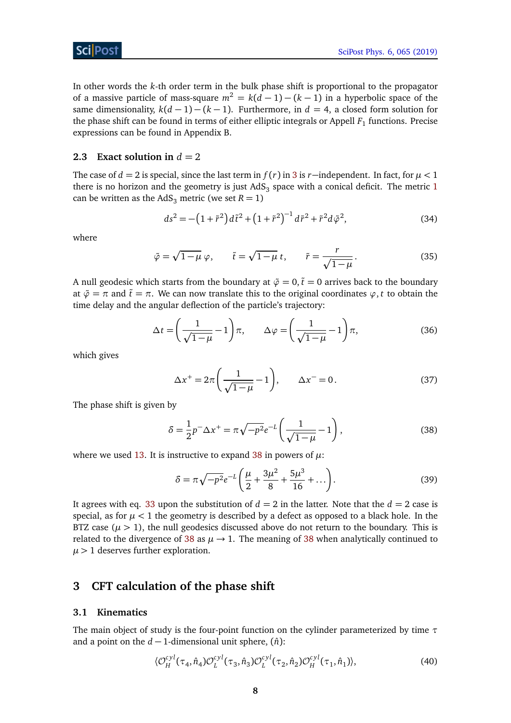In other words the *k*-th order term in the bulk phase shift is proportional to the propagator of a massive particle of mass-square  $m^2 = k(d-1) - (k-1)$  in a hyperbolic space of the same dimensionality,  $k(d-1) - (k-1)$ . Furthermore, in  $d = 4$ , a closed form solution for the phase shift can be found in terms of either elliptic integrals or Appell  $F_1$  functions. Precise expressions can be found in Appendix B.

#### <span id="page-7-0"></span>**2.3 Exact solution in**  $d = 2$

The case of *d* = 2 is special, since the last term in  $f(r)$  in [3](#page-3-3) is *r*−independent. In fact, for  $\mu$  < 1 there is no horizon and the geometry is just  $AdS_3$  space with a conical deficit. The metric  $1$ can be written as the AdS<sub>3</sub> metric (we set  $R = 1$ )

<span id="page-7-6"></span>
$$
ds^{2} = -\left(1 + \tilde{r}^{2}\right)d\tilde{t}^{2} + \left(1 + \tilde{r}^{2}\right)^{-1}d\tilde{r}^{2} + \tilde{r}^{2}d\tilde{\varphi}^{2},
$$
\n(34)

where

$$
\tilde{\varphi} = \sqrt{1 - \mu} \varphi, \qquad \tilde{t} = \sqrt{1 - \mu} t, \qquad \tilde{r} = \frac{r}{\sqrt{1 - \mu}}.
$$
\n(35)

A null geodesic which starts from the boundary at  $\tilde{\varphi} = 0$ ,  $\tilde{t} = 0$  arrives back to the boundary at  $\tilde{\varphi} = \pi$  and  $\tilde{t} = \pi$ . We can now translate this to the original coordinates  $\varphi$ , *t* to obtain the time delay and the angular deflection of the particle's trajectory:

$$
\Delta t = \left(\frac{1}{\sqrt{1-\mu}} - 1\right)\pi, \qquad \Delta \varphi = \left(\frac{1}{\sqrt{1-\mu}} - 1\right)\pi,\tag{36}
$$

which gives

<span id="page-7-5"></span>
$$
\Delta x^+ = 2\pi \left(\frac{1}{\sqrt{1-\mu}} - 1\right), \qquad \Delta x^- = 0. \tag{37}
$$

The phase shift is given by

$$
\delta = \frac{1}{2}p^{-}\Delta x^{+} = \pi \sqrt{-p^{2}}e^{-L}\left(\frac{1}{\sqrt{1-\mu}}-1\right),
$$
\n(38)

where we used [13.](#page-4-3) It is instructive to expand [38](#page-7-3) in powers of  $\mu$ :

<span id="page-7-7"></span><span id="page-7-3"></span>
$$
\delta = \pi \sqrt{-p^2} e^{-L} \left( \frac{\mu}{2} + \frac{3\mu^2}{8} + \frac{5\mu^3}{16} + \dots \right). \tag{39}
$$

It agrees with eq. [33](#page-6-1) upon the substitution of  $d = 2$  in the latter. Note that the  $d = 2$  case is special, as for  $\mu < 1$  the geometry is described by a defect as opposed to a black hole. In the BTZ case  $(\mu > 1)$ , the null geodesics discussed above do not return to the boundary. This is related to the divergence of [38](#page-7-3) as  $\mu \rightarrow 1$ . The meaning of 38 when analytically continued to  $\mu$  > 1 deserves further exploration.

## <span id="page-7-1"></span>**3 CFT calculation of the phase shift**

#### <span id="page-7-2"></span>**3.1 Kinematics**

The main object of study is the four-point function on the cylinder parameterized by time *τ* and a point on the  $d-1$ -dimensional unit sphere,  $(\hat{n})$ :

<span id="page-7-4"></span>
$$
\langle \mathcal{O}_H^{cyl}(\tau_4, \hat{n}_4) \mathcal{O}_L^{cyl}(\tau_3, \hat{n}_3) \mathcal{O}_L^{cyl}(\tau_2, \hat{n}_2) \mathcal{O}_H^{cyl}(\tau_1, \hat{n}_1) \rangle, \tag{40}
$$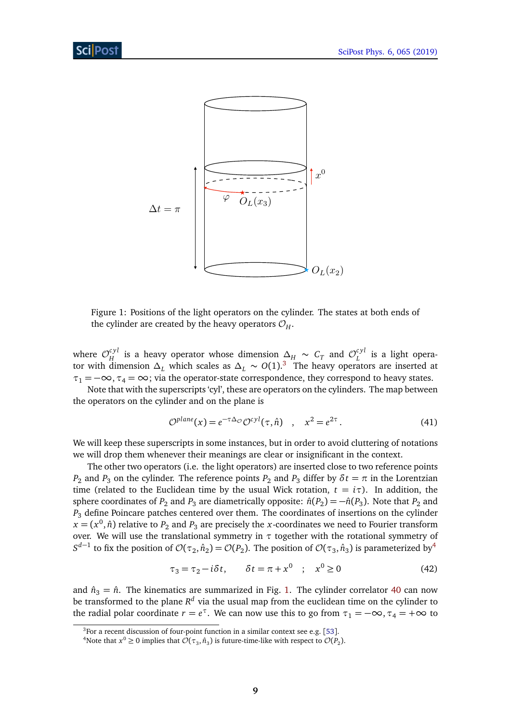<span id="page-8-2"></span>

Figure 1: Positions of the light operators on the cylinder. The states at both ends of the cylinder are created by the heavy operators  $\mathcal{O}_H$ .

where  $\mathcal{O}_H^{cyl}$  $\mu_H^{cyl}$  is a heavy operator whose dimension  $\Delta_H \sim C_T$  and  $\mathcal{O}_L^{cyl}$  $\int_L^{cyl}$  is a light operator with dimension  $\Delta_L$  which scales as  $\Delta_L \sim O(1).$ <sup>[3](#page-8-0)</sup> The heavy operators are inserted at  $\tau_1 = -\infty$ ,  $\tau_4 = \infty$ ; via the operator-state correspondence, they correspond to heavy states.

Note that with the superscripts 'cyl', these are operators on the cylinders. The map between the operators on the cylinder and on the plane is

$$
\mathcal{O}^{plane}(x) = e^{-\tau \Delta_{\mathcal{O}}} \mathcal{O}^{cyl}(\tau, \hat{n}) \quad , \quad x^2 = e^{2\tau} \,. \tag{41}
$$

We will keep these superscripts in some instances, but in order to avoid cluttering of notations we will drop them whenever their meanings are clear or insignificant in the context.

The other two operators (i.e. the light operators) are inserted close to two reference points *P*<sub>2</sub> and *P*<sub>3</sub> on the cylinder. The reference points *P*<sub>2</sub> and *P*<sub>3</sub> differ by  $\delta t = \pi$  in the Lorentzian time (related to the Euclidean time by the usual Wick rotation,  $t = i\tau$ ). In addition, the sphere coordinates of  $P_2$  and  $P_3$  are diametrically opposite:  $\hat{n}(P_2) = -\hat{n}(P_3)$ . Note that  $P_2$  and *P*<sup>3</sup> define Poincare patches centered over them. The coordinates of insertions on the cylinder  $x = (x^0, \hat{n})$  relative to  $P_2$  and  $P_3$  are precisely the *x*-coordinates we need to Fourier transform over. We will use the translational symmetry in  $\tau$  together with the rotational symmetry of  $S^{d-1}$  to fix the position of  $\mathcal{O}(\tau_2, \hat{n}_2) = \mathcal{O}(P_2)$ . The position of  $\mathcal{O}(\tau_3, \hat{n}_3)$  is parameterized by<sup>[4](#page-8-1)</sup>

<span id="page-8-3"></span>
$$
\tau_3 = \tau_2 - i\delta t, \qquad \delta t = \pi + x^0 \quad ; \quad x^0 \ge 0 \tag{42}
$$

and  $\hat{n}_3 = \hat{n}$ . The kinematics are summarized in Fig. [1.](#page-8-2) The cylinder correlator [40](#page-7-4) can now be transformed to the plane  $R^d$  via the usual map from the euclidean time on the cylinder to the radial polar coordinate  $r = e^{\tau}$ . We can now use this to go from  $\tau_1 = -\infty$ ,  $\tau_4 = +\infty$  to

<span id="page-8-0"></span> $3$ For a recent discussion of four-point function in a similar context see e.g. [[53](#page-36-7)].

<span id="page-8-1"></span><sup>&</sup>lt;sup>4</sup>Note that  $x^0 \ge 0$  implies that  $\mathcal{O}(\tau_3, \hat{n}_3)$  is future-time-like with respect to  $\mathcal{O}(P_2)$ .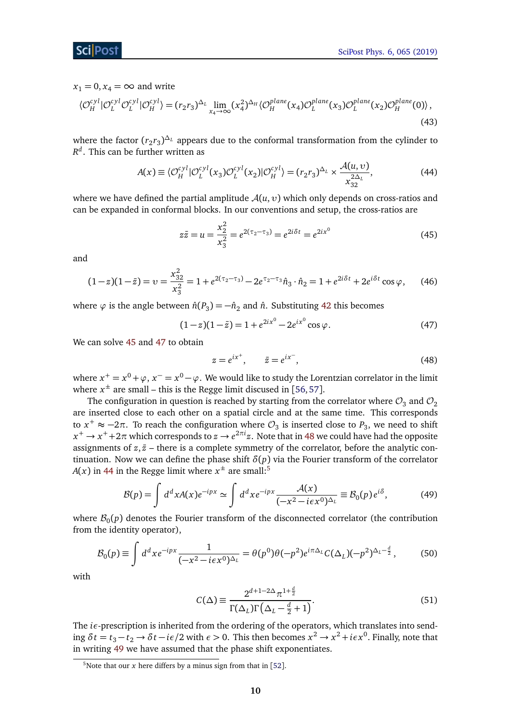$x_1 = 0, x_4 = \infty$  and write

$$
\langle \mathcal{O}_H^{cyl} | \mathcal{O}_L^{cyl} \mathcal{O}_L^{cyl} | \mathcal{O}_H^{cyl} \rangle = (r_2 r_3)^{\Delta_L} \lim_{x_4 \to \infty} (x_4^2)^{\Delta_H} \langle \mathcal{O}_H^{plane}(x_4) \mathcal{O}_L^{plane}(x_3) \mathcal{O}_L^{plane}(x_2) \mathcal{O}_H^{plane}(0) \rangle, \tag{43}
$$

where the factor  $(r_2r_3)^{\Delta_L}$  appears due to the conformal transformation from the cylinder to *R d* . This can be further written as

$$
A(x) \equiv \langle \mathcal{O}_H^{cyl} | \mathcal{O}_L^{cyl}(x_3) \mathcal{O}_L^{cyl}(x_2) | \mathcal{O}_H^{cyl} \rangle = (r_2 r_3)^{\Delta_L} \times \frac{\mathcal{A}(u, v)}{x_{32}^{2\Delta_L}},
$$
(44)

where we have defined the partial amplitude  $A(u, v)$  which only depends on cross-ratios and can be expanded in conformal blocks. In our conventions and setup, the cross-ratios are

<span id="page-9-3"></span><span id="page-9-0"></span>
$$
z\bar{z} = u = \frac{x_2^2}{x_3^2} = e^{2(\tau_2 - \tau_3)} = e^{2i\delta t} = e^{2ix^0}
$$
 (45)

and

$$
(1-z)(1-\bar{z}) = v = \frac{x_{32}^2}{x_3^2} = 1 + e^{2(\tau_2 - \tau_3)} - 2e^{\tau_2 - \tau_3} \hat{n}_3 \cdot \hat{n}_2 = 1 + e^{2i\delta t} + 2e^{i\delta t} \cos \varphi, \tag{46}
$$

where  $\varphi$  is the angle between  $\hat{n}(P_3) = -\hat{n}_2$  and  $\hat{n}$ . Substituting [42](#page-8-3) this becomes

$$
(1-z)(1-\bar{z}) = 1 + e^{2ix^{0}} - 2e^{ix^{0}} \cos \varphi.
$$
 (47)

We can solve [45](#page-9-0) and [47](#page-9-1) to obtain

<span id="page-9-2"></span><span id="page-9-1"></span>
$$
z = e^{ix^+}, \qquad \bar{z} = e^{ix^-}, \tag{48}
$$

where  $x^+=x^0+\varphi$  ,  $x^-=x^0-\varphi$  . We would like to study the Lorentzian correlator in the limit where  $x^{\pm}$  are small – this is the Regge limit discused in [[56,](#page-36-1)[57](#page-35-4)].

The configuration in question is reached by starting from the correlator where  $\mathcal{O}_3$  and  $\mathcal{O}_2$ are inserted close to each other on a spatial circle and at the same time. This corresponds to  $x^+ \approx -2\pi$ . To reach the configuration where  $\mathcal{O}_3$  is inserted close to  $P_3$ , we need to shift  $x^+ \to x^+ + 2\pi$  which corresponds to  $z \to e^{2\pi i}z$ . Note that in [48](#page-9-2) we could have had the opposite assignments of  $z, \bar{z}$  – there is a complete symmetry of the correlator, before the analytic continuation. Now we can define the phase shift  $\delta(p)$  via the Fourier transform of the correlator *A*(*x*) in [44](#page-9-3) in the Regge limit where  $x^{\pm}$  are small:<sup>[5](#page-9-4)</sup>

$$
\mathcal{B}(p) = \int d^d x A(x) e^{-ipx} \simeq \int d^d x e^{-ipx} \frac{\mathcal{A}(x)}{(-x^2 - i\epsilon x^0)^{\Delta_L}} \equiv \mathcal{B}_0(p) e^{i\delta},\tag{49}
$$

where  $\mathcal{B}_0(p)$  denotes the Fourier transform of the disconnected correlator (the contribution from the identity operator),

$$
\mathcal{B}_0(p) \equiv \int d^d x e^{-ipx} \frac{1}{(-x^2 - i\epsilon x^0)^{\Delta_L}} = \theta(p^0)\theta(-p^2)e^{i\pi\Delta_L}C(\Delta_L)(-p^2)^{\Delta_L - \frac{d}{2}},\tag{50}
$$

with

<span id="page-9-6"></span><span id="page-9-5"></span>
$$
C(\Delta) \equiv \frac{2^{d+1-2\Delta} \pi^{1+\frac{d}{2}}}{\Gamma(\Delta_L)\Gamma(\Delta_L - \frac{d}{2} + 1)}.
$$
\n(51)

The  $i\epsilon$ -prescription is inherited from the ordering of the operators, which translates into sending  $\delta t = t_3 - t_2 \to \delta t - i\epsilon/2$  with  $\epsilon > 0$ . This then becomes  $x^2 \to x^2 + i\epsilon x^0$ . Finally, note that in writing [49](#page-9-5) we have assumed that the phase shift exponentiates.

<span id="page-9-4"></span><sup>&</sup>lt;sup>5</sup>Note that our *x* here differs by a minus sign from that in [[52](#page-36-4)].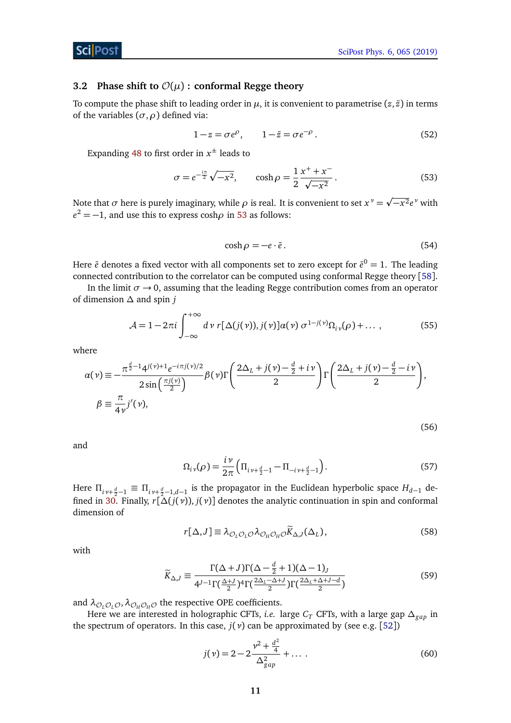<span id="page-10-4"></span><span id="page-10-3"></span><span id="page-10-2"></span>(56)

#### <span id="page-10-0"></span>**3.2** Phase shift to  $\mathcal{O}(\mu)$  : conformal Regge theory

To compute the phase shift to leading order in  $\mu$ , it is convenient to parametrise  $(z, \bar{z})$  in terms of the variables  $(\sigma, \rho)$  defined via:

$$
1 - z = \sigma e^{\rho}, \qquad 1 - \bar{z} = \sigma e^{-\rho}.
$$
 (52)

Expanding [48](#page-9-2) to first order in  $x^{\pm}$  leads to

$$
\sigma = e^{-\frac{i\pi}{2}} \sqrt{-x^2}, \qquad \cosh \rho = \frac{1}{2} \frac{x^+ + x^-}{\sqrt{-x^2}}.
$$
 (53)

Note that  $\sigma$  here is purely imaginary, while  $\rho$  is real. It is convenient to set  $x^{\nu}$   $=$ −*x* 2*e <sup>ν</sup>* with  $e^2 = -1$ , and use this to express cosh $\rho$  in [53](#page-10-1) as follows:

<span id="page-10-1"></span>
$$
\cosh \rho = -e \cdot \bar{e} \,. \tag{54}
$$

Here  $\bar{e}$  denotes a fixed vector with all components set to zero except for  $\bar{e}^0=1.$  The leading connected contribution to the correlator can be computed using conformal Regge theory [[58](#page-36-3)].

In the limit  $\sigma \rightarrow 0$ , assuming that the leading Regge contribution comes from an operator of dimension *∆* and spin *j*

$$
\mathcal{A} = 1 - 2\pi i \int_{-\infty}^{+\infty} d\nu \, r[\Delta(j(\nu)), j(\nu)] \alpha(\nu) \, \sigma^{1-j(\nu)} \Omega_{i\nu}(\rho) + \dots \,, \tag{55}
$$

where

$$
\alpha(\nu) \equiv -\frac{\pi^{\frac{d}{2}-1}4^{j(\nu)+1}e^{-i\pi j(\nu)/2}}{2\sin(\frac{\pi j(\nu)}{2})}\beta(\nu)\Gamma\left(\frac{2\Delta_L + j(\nu) - \frac{d}{2} + i\nu}{2}\right)\Gamma\left(\frac{2\Delta_L + j(\nu) - \frac{d}{2} - i\nu}{2}\right),
$$
  

$$
\beta \equiv \frac{\pi}{4\nu}j'(\nu),
$$

and

$$
\Omega_{i\,\nu}(\rho) = \frac{i\,\nu}{2\pi} \left( \Pi_{i\,\nu + \frac{d}{2} - 1} - \Pi_{-i\,\nu + \frac{d}{2} - 1} \right). \tag{57}
$$

Here  $\Pi_{i\gamma+\frac{d}{2}-1} \equiv \Pi_{i\gamma+\frac{d}{2}-1,d-1}$  is the propagator in the Euclidean hyperbolic space  $H_{d-1}$  de-fined in [30.](#page-6-2) Finally,  $r[\Delta(j(v)), j(v)]$  denotes the analytic continuation in spin and conformal dimension of

$$
r[\Delta, J] \equiv \lambda_{\mathcal{O}_L \mathcal{O}_L \mathcal{O}} \lambda_{\mathcal{O}_H \mathcal{O}_H \mathcal{O}} \widetilde{K}_{\Delta, J}(\Delta_L), \qquad (58)
$$

with

$$
\widetilde{K}_{\Delta,J} \equiv \frac{\Gamma(\Delta+J)\Gamma(\Delta-\frac{d}{2}+1)(\Delta-1)_J}{4^{J-1}\Gamma(\frac{\Delta+J}{2})^4\Gamma(\frac{2\Delta_L-\Delta+J}{2})\Gamma(\frac{2\Delta_L+\Delta+J-d}{2})}
$$
(59)

and  $\lambda_{\mathcal{O}_I\mathcal{O}_I\mathcal{O}}$ ,  $\lambda_{\mathcal{O}_H\mathcal{O}_H\mathcal{O}}$  the respective OPE coefficients.

Here we are interested in holographic CFTs, *i.e.* large *C<sup>T</sup>* CFTs, with a large gap *∆gap* in the spectrum of operators. In this case,  $j(v)$  can be approximated by (see e.g. [[52](#page-36-4)])

<span id="page-10-5"></span>
$$
j(\nu) = 2 - 2\frac{\nu^2 + \frac{d^2}{4}}{\Delta_{gap}^2} + \dots \tag{60}
$$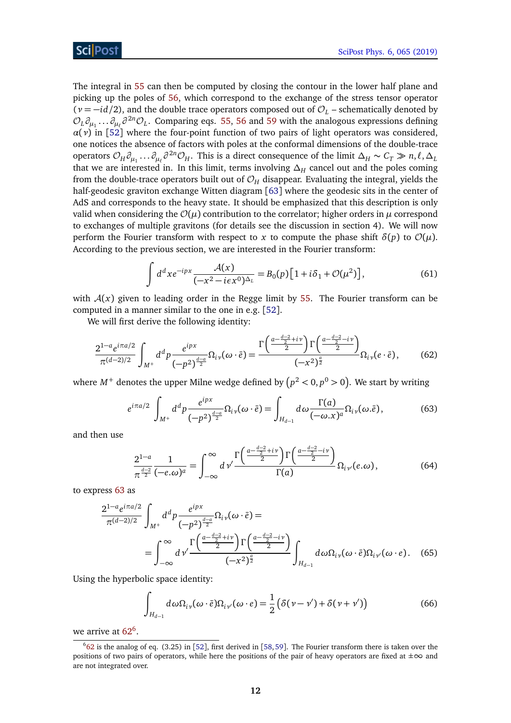The integral in [55](#page-10-2) can then be computed by closing the contour in the lower half plane and picking up the poles of [56,](#page-10-3) which correspond to the exchange of the stress tensor operator  $(v = -id/2)$ , and the double trace operators composed out of  $\mathcal{O}_L$  – schematically denoted by  $\mathcal{O}_L \partial_{\mu_1} \dots \partial_{\mu_\ell} \partial^{2n} \mathcal{O}_L$ . Comparing eqs. [55,](#page-10-2) [56](#page-10-3) and [59](#page-10-4) with the analogous expressions defining  $\alpha(\nu)$  in [[52](#page-36-4)] where the four-point function of two pairs of light operators was considered, one notices the absence of factors with poles at the conformal dimensions of the double-trace operators  $\mathcal{O}_H \partial_{\mu_1} \dots \partial_{\mu_\ell} \partial^{2n} \mathcal{O}_H$ . This is a direct consequence of the limit  $\Delta_H \sim C_T \gg n, \ell, \Delta_L$ that we are interested in. In this limit, terms involving *∆<sup>H</sup>* cancel out and the poles coming from the double-trace operators built out of  $\mathcal{O}_H$  disappear. Evaluating the integral, yields the half-geodesic graviton exchange Witten diagram [[63](#page-36-0)] where the geodesic sits in the center of AdS and corresponds to the heavy state. It should be emphasized that this description is only valid when considering the  $\mathcal{O}(\mu)$  contribution to the correlator; higher orders in  $\mu$  correspond to exchanges of multiple gravitons (for details see the discussion in section 4). We will now perform the Fourier transform with respect to *x* to compute the phase shift  $\delta(p)$  to  $\mathcal{O}(\mu)$ . According to the previous section, we are interested in the Fourier transform:

<span id="page-11-3"></span><span id="page-11-1"></span>
$$
\int d^d x e^{-ipx} \frac{\mathcal{A}(x)}{(-x^2 - i\epsilon x^0)^{\Delta_L}} = B_0(p) \left[ 1 + i\delta_1 + \mathcal{O}(\mu^2) \right],\tag{61}
$$

with  $A(x)$  given to leading order in the Regge limit by [55.](#page-10-2) The Fourier transform can be computed in a manner similar to the one in e.g. [[52](#page-36-4)].

We will first derive the following identity:

$$
\frac{2^{1-a}e^{i\pi a/2}}{\pi^{(d-2)/2}}\int_{M^{+}}d^{d}p\frac{e^{ipx}}{(-p^{2})^{\frac{d-a}{2}}}\Omega_{i\nu}(\omega\cdot\bar{e})=\frac{\Gamma\left(\frac{a-\frac{d-2}{2}+i\nu}{2}\right)\Gamma\left(\frac{a-\frac{d-2}{2}-i\nu}{2}\right)}{(-x^{2})^{\frac{a}{2}}}\Omega_{i\nu}(e\cdot\bar{e}),\qquad(62)
$$

where  $M^+$  denotes the upper Milne wedge defined by  $\left(p^2 < 0, p^0 > 0\right)$ . We start by writing

$$
e^{i\pi a/2} \int_{M^+} d^d p \frac{e^{ipx}}{(-p^2)^{\frac{d-a}{2}}} \Omega_{i\nu}(\omega \cdot \bar{e}) = \int_{H_{d-1}} d\omega \frac{\Gamma(a)}{(-\omega \cdot x)^a} \Omega_{i\nu}(\omega \cdot \bar{e}), \tag{63}
$$

and then use

<span id="page-11-0"></span>
$$
\frac{2^{1-a}}{\pi^{\frac{d-2}{2}}} \frac{1}{(-e.\omega)^a} = \int_{-\infty}^{\infty} d\nu' \frac{\Gamma\left(\frac{a-\frac{d-2}{2}+i\nu}{2}\right) \Gamma\left(\frac{a-\frac{d-2}{2}-i\nu}{2}\right)}{\Gamma(a)} \Omega_{i\nu'}(e.\omega),\tag{64}
$$

to express [63](#page-11-0) as

$$
\frac{2^{1-a}e^{i\pi a/2}}{\pi^{(d-2)/2}} \int_{M^+} d^dp \frac{e^{ipx}}{(-p^2)^{\frac{d-a}{2}} } \Omega_{i\nu}(\omega \cdot \bar{e}) =
$$
\n
$$
= \int_{-\infty}^{\infty} d\nu' \frac{\Gamma\left(\frac{a-\frac{d-2}{2}+i\nu}{2}\right) \Gamma\left(\frac{a-\frac{d-2}{2}-i\nu}{2}\right)}{(-x^2)^{\frac{a}{2}}} \int_{H_{d-1}} d\omega \Omega_{i\nu}(\omega \cdot \bar{e}) \Omega_{i\nu'}(\omega \cdot e). \quad (65)
$$

Using the hyperbolic space identity:

$$
\int_{H_{d-1}} d\omega \Omega_{i\,\nu}(\omega \cdot \bar{e}) \Omega_{i\,\nu'}(\omega \cdot e) = \frac{1}{2} \left( \delta(\nu - \nu') + \delta(\nu + \nu') \right) \tag{66}
$$

we arrive at  $62^6$  $62^6$  $62^6$ .

<span id="page-11-2"></span> $662$  $662$  is the analog of eq. (3.25) in [[52](#page-36-4)], first derived in [[58,](#page-36-3) [59](#page-36-2)]. The Fourier transform there is taken over the positions of two pairs of operators, while here the positions of the pair of heavy operators are fixed at  $\pm \infty$  and are not integrated over.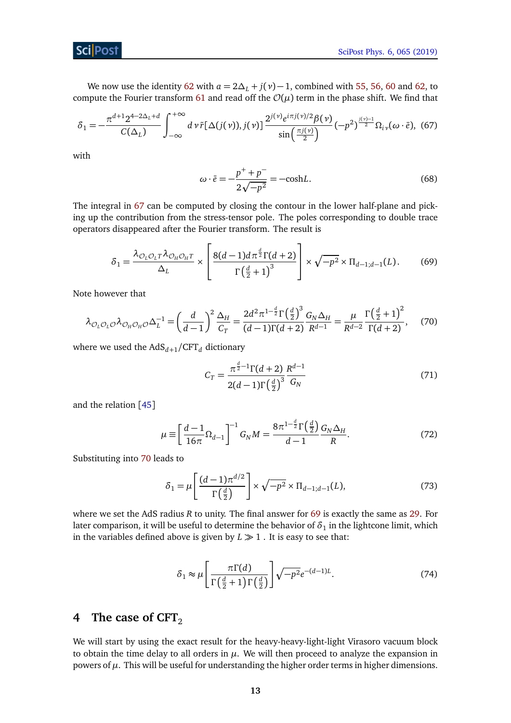#### **ScilPost**

We now use the identity [62](#page-11-1) with  $a = 2\Delta_L + j(v) - 1$ , combined with [55,](#page-10-2) [56,](#page-10-3) [60](#page-10-5) and [62,](#page-11-1) to compute the Fourier transform [61](#page-11-3) and read off the  $\mathcal{O}(\mu)$  term in the phase shift. We find that

$$
\delta_1 = -\frac{\pi^{d+1} 2^{4-2\Delta_L + d}}{C(\Delta_L)} \int_{-\infty}^{+\infty} d\nu \tilde{r} [\Delta(j(\nu)), j(\nu)] \frac{2^{j(\nu)} e^{i\pi j(\nu)/2} \beta(\nu)}{\sin(\frac{\pi j(\nu)}{2})} (-p^2)^{\frac{j(\nu)-1}{2}} \Omega_{i\nu}(\omega \cdot \tilde{e}), \tag{67}
$$

with

<span id="page-12-4"></span><span id="page-12-3"></span><span id="page-12-1"></span>
$$
\omega \cdot \bar{e} = -\frac{p^+ + p^-}{2\sqrt{-p^2}} = -\text{cosh}L. \tag{68}
$$

The integral in [67](#page-12-1) can be computed by closing the contour in the lower half-plane and picking up the contribution from the stress-tensor pole. The poles corresponding to double trace operators disappeared after the Fourier transform. The result is

$$
\delta_1 = \frac{\lambda_{\mathcal{O}_L \mathcal{O}_L T} \lambda_{\mathcal{O}_H \mathcal{O}_H T}}{\Delta_L} \times \left[ \frac{8(d-1)d\pi^{\frac{d}{2}}\Gamma(d+2)}{\Gamma(\frac{d}{2}+1)^3} \right] \times \sqrt{-p^2} \times \Pi_{d-1; d-1}(L). \tag{69}
$$

Note however that

$$
\lambda_{\mathcal{O}_L\mathcal{O}_L\mathcal{O}}\lambda_{\mathcal{O}_H\mathcal{O}_H\mathcal{O}}\Delta_L^{-1} = \left(\frac{d}{d-1}\right)^2 \frac{\Delta_H}{C_T} = \frac{2d^2\pi^{1-\frac{d}{2}}\Gamma\left(\frac{d}{2}\right)^3}{(d-1)\Gamma(d+2)} \frac{G_N\Delta_H}{R^{d-1}} = \frac{\mu}{R^{d-2}} \frac{\Gamma\left(\frac{d}{2}+1\right)^2}{\Gamma(d+2)},\tag{70}
$$

where we used the  $AdS_{d+1}/CFT_d$  dictionary

<span id="page-12-5"></span><span id="page-12-2"></span>
$$
C_T = \frac{\pi^{\frac{d}{2}-1} \Gamma(d+2)}{2(d-1)\Gamma(\frac{d}{2})^3} \frac{R^{d-1}}{G_N}
$$
(71)

and the relation [[45](#page-35-3)]

$$
\mu \equiv \left[ \frac{d-1}{16\pi} \Omega_{d-1} \right]^{-1} G_N M = \frac{8\pi^{1-\frac{d}{2}} \Gamma(\frac{d}{2})}{d-1} \frac{G_N \Delta_H}{R}.
$$
\n(72)

Substituting into [70](#page-12-2) leads to

$$
\delta_1 = \mu \left[ \frac{(d-1)\pi^{d/2}}{\Gamma\left(\frac{d}{2}\right)} \right] \times \sqrt{-p^2} \times \Pi_{d-1;d-1}(L),\tag{73}
$$

where we set the AdS radius *R* to unity. The final answer for [69](#page-12-3) is exactly the same as [29.](#page-6-3) For later comparison, it will be useful to determine the behavior of  $\delta_1$  in the lightcone limit, which in the variables defined above is given by  $L \gg 1$ . It is easy to see that:

$$
\delta_1 \approx \mu \left[ \frac{\pi \Gamma(d)}{\Gamma\left(\frac{d}{2} + 1\right) \Gamma\left(\frac{d}{2}\right)} \right] \sqrt{-p^2} e^{-(d-1)L}.\tag{74}
$$

# <span id="page-12-0"></span>**4** The case of CFT<sub>2</sub>

We will start by using the exact result for the heavy-heavy-light-light Virasoro vacuum block to obtain the time delay to all orders in  $\mu$ . We will then proceed to analyze the expansion in powers of  $\mu$ . This will be useful for understanding the higher order terms in higher dimensions.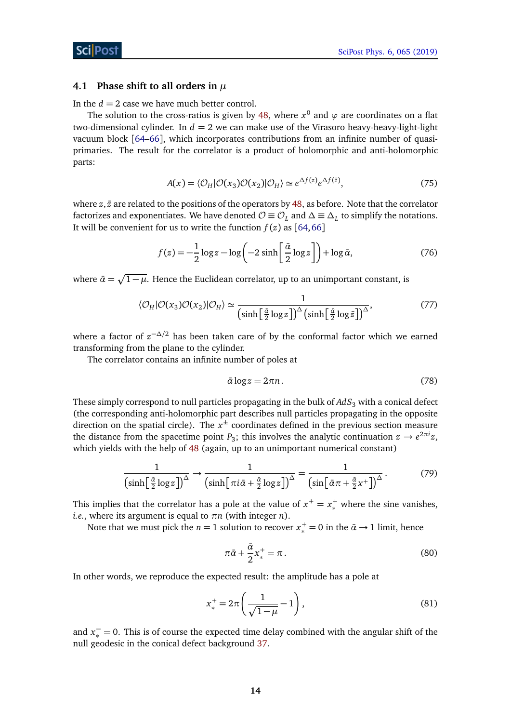#### <span id="page-13-0"></span>**4.1 Phase shift to all orders in** *µ*

In the  $d = 2$  case we have much better control.

The solution to the cross-ratios is given by [48,](#page-9-2) where  $x^0$  and  $\varphi$  are coordinates on a flat two-dimensional cylinder. In  $d = 2$  we can make use of the Virasoro heavy-heavy-light-light vacuum block [[64](#page-36-8)[–66](#page-36-9)], which incorporates contributions from an infinite number of quasiprimaries. The result for the correlator is a product of holomorphic and anti-holomorphic parts:

$$
A(x) = \langle \mathcal{O}_H | \mathcal{O}(x_3) \mathcal{O}(x_2) | \mathcal{O}_H \rangle \simeq e^{\Delta f(z)} e^{\Delta f(\bar{z})},\tag{75}
$$

where  $z, \bar{z}$  are related to the positions of the operators by [48,](#page-9-2) as before. Note that the correlator factorizes and exponentiates. We have denoted  $\mathcal{O} \equiv \mathcal{O}_L$  and  $\Delta \equiv \Delta_L$  to simplify the notations. It will be convenient for us to write the function  $f(z)$  as [[64,](#page-36-8)[66](#page-36-9)]

$$
f(z) = -\frac{1}{2}\log z - \log\left(-2\sinh\left(\frac{\bar{\alpha}}{2}\log z\right)\right) + \log\bar{\alpha},\tag{76}
$$

where  $\bar{\alpha} = \sqrt{1 - \mu}$ . Hence the Euclidean correlator, up to an unimportant constant, is

$$
\langle \mathcal{O}_H | \mathcal{O}(x_3) \mathcal{O}(x_2) | \mathcal{O}_H \rangle \simeq \frac{1}{\left(\sinh\left[\frac{\tilde{a}}{2}\log z\right]\right)^{\Delta}\left(\sinh\left[\frac{\tilde{a}}{2}\log \bar{z}\right]\right)^{\Delta}},\tag{77}
$$

where a factor of *z* <sup>−</sup>*∆/*<sup>2</sup> has been taken care of by the conformal factor which we earned transforming from the plane to the cylinder.

The correlator contains an infinite number of poles at

<span id="page-13-3"></span><span id="page-13-2"></span>
$$
\bar{\alpha}\log z = 2\pi n. \tag{78}
$$

These simply correspond to null particles propagating in the bulk of  $AdS<sub>3</sub>$  with a conical defect (the corresponding anti-holomorphic part describes null particles propagating in the opposite direction on the spatial circle). The  $x^{\pm}$  coordinates defined in the previous section measure the distance from the spacetime point  $P_3$ ; this involves the analytic continuation  $z \to e^{2\pi i}z$ , which yields with the help of [48](#page-9-2) (again, up to an unimportant numerical constant)

$$
\frac{1}{\left(\sinh\left[\frac{\tilde{a}}{2}\log z\right]\right)^{\Delta}} \to \frac{1}{\left(\sinh\left[\pi i\bar{\alpha} + \frac{\tilde{a}}{2}\log z\right]\right)^{\Delta}} = \frac{1}{\left(\sin\left[\bar{\alpha}\pi + \frac{\tilde{a}}{2}x^{+}\right]\right)^{\Delta}}.
$$
(79)

This implies that the correlator has a pole at the value of  $x^+ = x^+_*$  where the sine vanishes, *i.e.*, where its argument is equal to *πn* (with integer *n*).

Note that we must pick the  $n = 1$  solution to recover  $x_*^+ = 0$  in the  $\bar{\alpha} \rightarrow 1$  limit, hence

<span id="page-13-1"></span>
$$
\pi \bar{\alpha} + \frac{\bar{\alpha}}{2} x_*^+ = \pi \,. \tag{80}
$$

In other words, we reproduce the expected result: the amplitude has a pole at

$$
x_*^+ = 2\pi \left(\frac{1}{\sqrt{1-\mu}} - 1\right),\tag{81}
$$

and  $x_*^-$  = 0. This is of course the expected time delay combined with the angular shift of the null geodesic in the conical defect background [37.](#page-7-5)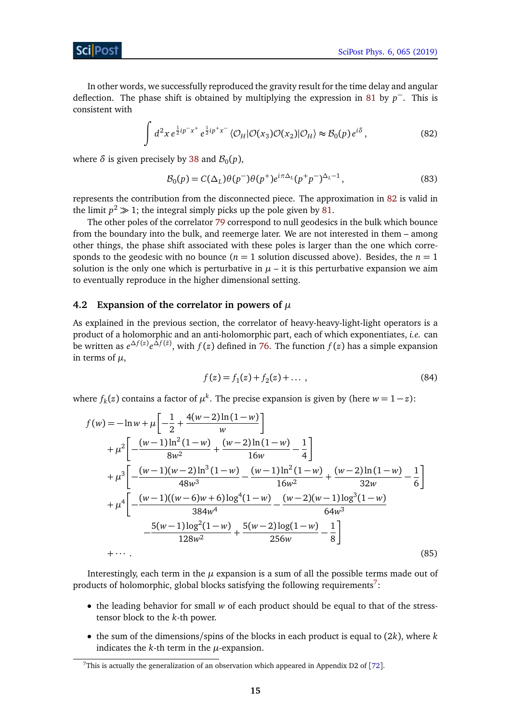In other words, we successfully reproduced the gravity result for the time delay and angular deflection. The phase shift is obtained by multiplying the expression in [81](#page-13-1) by *p* <sup>−</sup>. This is consistent with

$$
\int d^2x \, e^{\frac{1}{2}ip^{-}x^{+}} \, e^{\frac{1}{2}ip^{+}x^{-}} \, \langle \mathcal{O}_H | \mathcal{O}(x_3) \mathcal{O}(x_2) | \mathcal{O}_H \rangle \approx \mathcal{B}_0(p) \, e^{i\delta} \,, \tag{82}
$$

where  $\delta$  is given precisely by [38](#page-7-3) and  $\mathcal{B}_0(p)$ ,

<span id="page-14-1"></span>
$$
\mathcal{B}_0(p) = C(\Delta_L)\theta(p^-)\theta(p^+)e^{i\pi\Delta_L}(p^+p^-)^{\Delta_L-1},\tag{83}
$$

represents the contribution from the disconnected piece. The approximation in [82](#page-14-1) is valid in the limit  $p^2 \gg 1$ ; the integral simply picks up the pole given by [81.](#page-13-1)

The other poles of the correlator [79](#page-13-2) correspond to null geodesics in the bulk which bounce from the boundary into the bulk, and reemerge later. We are not interested in them – among other things, the phase shift associated with these poles is larger than the one which corresponds to the geodesic with no bounce  $(n = 1)$  solution discussed above). Besides, the  $n = 1$ solution is the only one which is perturbative in  $\mu$  – it is this perturbative expansion we aim to eventually reproduce in the higher dimensional setting.

### <span id="page-14-0"></span>**4.2 Expansion of the correlator in powers of** *µ*

As explained in the previous section, the correlator of heavy-heavy-light-light operators is a product of a holomorphic and an anti-holomorphic part, each of which exponentiates, *i.e.* can be written as  $e^{\Delta f(z)}e^{\Delta f(\bar{z})}$ , with  $f(z)$  defined in [76.](#page-13-3) The function  $f(z)$  has a simple expansion in terms of *µ*,

<span id="page-14-3"></span>
$$
f(z) = f_1(z) + f_2(z) + \dots \,, \tag{84}
$$

where  $f_k(z)$  contains a factor of  $\mu^k$ . The precise expansion is given by (here  $w = 1 - z$ ):

$$
f(w) = -\ln w + \mu \left[ -\frac{1}{2} + \frac{4(w-2)\ln(1-w)}{w} \right]
$$
  
+ 
$$
\mu^2 \left[ -\frac{(w-1)\ln^2(1-w)}{8w^2} + \frac{(w-2)\ln(1-w)}{16w} - \frac{1}{4} \right]
$$
  
+ 
$$
\mu^3 \left[ -\frac{(w-1)(w-2)\ln^3(1-w)}{48w^3} - \frac{(w-1)\ln^2(1-w)}{16w^2} + \frac{(w-2)\ln(1-w)}{32w} - \frac{1}{6} \right]
$$
  
+ 
$$
\mu^4 \left[ -\frac{(w-1)((w-6)w+6)\log^4(1-w)}{384w^4} - \frac{5(w-1)\log^2(1-w)}{128w^2} + \frac{5(w-2)\log(1-w)}{256w} - \frac{1}{8} \right]
$$
  
+ 
$$
\cdots
$$
 (85)

Interestingly, each term in the  $\mu$  expansion is a sum of all the possible terms made out of products of holomorphic, global blocks satisfying the following requirements<sup>[7](#page-14-2)</sup>:

- the leading behavior for small *w* of each product should be equal to that of the stresstensor block to the *k*-th power.
- the sum of the dimensions/spins of the blocks in each product is equal to (2*k*), where *k* indicates the  $k$ -th term in the  $\mu$ -expansion.

<span id="page-14-2"></span><sup>&</sup>lt;sup>7</sup>This is actually the generalization of an observation which appeared in Appendix D2 of [[72](#page-37-0)].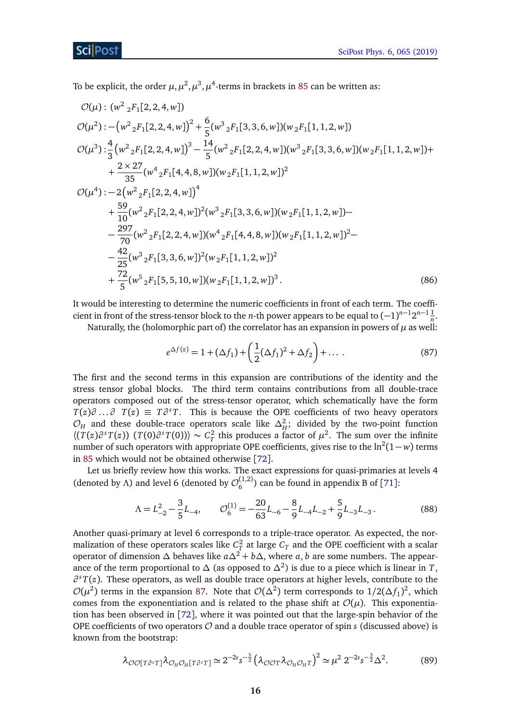To be explicit, the order  $\mu, \mu^2, \mu^3, \mu^4$ -terms in brackets in [85](#page-14-3) can be written as:

$$
\mathcal{O}(\mu) : (w^2 {}_2F_1[2, 2, 4, w])
$$
  
\n
$$
\mathcal{O}(\mu^2) : - (w^2 {}_2F_1[2, 2, 4, w])^2 + \frac{6}{5}(w^3 {}_2F_1[3, 3, 6, w])(w {}_2F_1[1, 1, 2, w])
$$
  
\n
$$
\mathcal{O}(\mu^3) : \frac{4}{3}(w^2 {}_2F_1[2, 2, 4, w])^3 - \frac{14}{5}(w^2 {}_2F_1[2, 2, 4, w])(w^3 {}_2F_1[3, 3, 6, w])(w {}_2F_1[1, 1, 2, w]) + \frac{2 \times 27}{35}(w^4 {}_2F_1[4, 4, 8, w])(w {}_2F_1[1, 1, 2, w])^2
$$
  
\n
$$
\mathcal{O}(\mu^4) : - 2(w^2 {}_2F_1[2, 2, 4, w])^4
$$
  
\n
$$
+ \frac{59}{10}(w^2 {}_2F_1[2, 2, 4, w])^2(w^3 {}_2F_1[3, 3, 6, w])(w {}_2F_1[1, 1, 2, w]) - \frac{297}{70}(w^2 {}_2F_1[2, 2, 4, w])(w^4 {}_2F_1[4, 4, 8, w])(w {}_2F_1[1, 1, 2, w])^2 - \frac{42}{25}(w^3 {}_2F_1[3, 3, 6, w])^2(w {}_2F_1[1, 1, 2, w])^2
$$
  
\n
$$
+ \frac{72}{5}(w^5 {}_2F_1[5, 5, 10, w])(w {}_2F_1[1, 1, 2, w])^3.
$$
 (86)

It would be interesting to determine the numeric coefficients in front of each term. The coefficient in front of the stress-tensor block to the *n*-th power appears to be equal to  $(-1)^{n-1}2^{n-1}\frac{1}{n}$ .

Naturally, the (holomorphic part of) the correlator has an expansion in powers of  $\mu$  as well:

<span id="page-15-2"></span><span id="page-15-0"></span>
$$
e^{\Delta f(z)} = 1 + (\Delta f_1) + \left(\frac{1}{2}(\Delta f_1)^2 + \Delta f_2\right) + \dots
$$
 (87)

The first and the second terms in this expansion are contributions of the identity and the stress tensor global blocks. The third term contains contributions from all double-trace operators composed out of the stress-tensor operator, which schematically have the form  $T(z)\partial$  ... $\partial$   $T(z) \equiv T\partial^s T$ . This is because the OPE coefficients of two heavy operators  $\mathcal{O}_H$  and these double-trace operators scale like  $\Delta_H^2$ ; divided by the two-point function  $\langle (T(z)\partial^s T(z)) (T(0)\partial^s T(0)) \rangle \sim C_T^2$  this produces a factor of  $\mu^2$ . The sum over the infinite number of such operators with appropriate OPE coefficients, gives rise to the  $\ln^2(1-w)$  terms in [85](#page-14-3) which would not be obtained otherwise [[72](#page-37-0)].

Let us briefly review how this works. The exact expressions for quasi-primaries at levels 4 (denoted by *Λ*) and level 6 (denoted by  $\mathcal{O}_6^{(1,2)}$  $_6^{(1,2)}$ ) can be found in appendix B of [[71](#page-37-1)]:

$$
\Lambda = L_{-2}^2 - \frac{3}{5}L_{-4}, \qquad \mathcal{O}_6^{(1)} = -\frac{20}{63}L_{-6} - \frac{8}{9}L_{-4}L_{-2} + \frac{5}{9}L_{-3}L_{-3}.
$$
 (88)

Another quasi-primary at level 6 corresponds to a triple-trace operator. As expected, the normalization of these operators scales like  $C_T^2$  at large  $C_T$  and the OPE coefficient with a scalar operator of dimension *∆* behaves like *a∆*<sup>2</sup> + *b∆*, where *a*, *b* are some numbers. The appearance of the term proportional to *∆* (as opposed to *∆*<sup>2</sup> ) is due to a piece which is linear in *T*, *∂ <sup>s</sup>T*(*z*). These operators, as well as double trace operators at higher levels, contribute to the  $\mathcal{O}(\mu^2)$  terms in the expansion [87.](#page-15-0) Note that  $\mathcal{O}(\Delta^2)$  term corresponds to  $1/2(\Delta f_1)^2$ , which comes from the exponentiation and is related to the phase shift at  $\mathcal{O}(\mu)$ . This exponentiation has been observed in [[72](#page-37-0)], where it was pointed out that the large-spin behavior of the OPE coefficients of two operators  $\mathcal O$  and a double trace operator of spin *s* (discussed above) is known from the bootstrap:

<span id="page-15-1"></span>
$$
\lambda_{\mathcal{O}\mathcal{O}[T\partial^s T]} \lambda_{\mathcal{O}_H \mathcal{O}_H [T\partial^s T]} \simeq 2^{-2s} s^{-\frac{3}{2}} \left(\lambda_{\mathcal{O}\mathcal{O} T} \lambda_{\mathcal{O}_H \mathcal{O}_H T}\right)^2 \simeq \mu^2 2^{-2s} s^{-\frac{3}{2}} \Delta^2.
$$
 (89)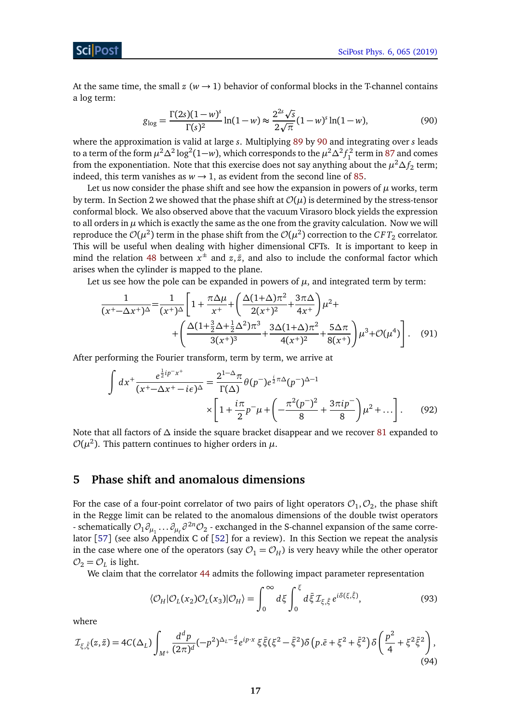At the same time, the small  $z$  ( $w \rightarrow 1$ ) behavior of conformal blocks in the T-channel contains a log term:

<span id="page-16-1"></span>
$$
g_{\log} = \frac{\Gamma(2s)(1-w)^s}{\Gamma(s)^2} \ln(1-w) \approx \frac{2^{2s}\sqrt{s}}{2\sqrt{\pi}} (1-w)^s \ln(1-w),\tag{90}
$$

where the approximation is valid at large *s*. Multiplying [89](#page-15-1) by [90](#page-16-1) and integrating over *s* leads to a term of the form  $\mu^2 \Delta^2 \log^2(1-w)$ , which corresponds to the  $\mu^2 \Delta^2 f_1^2$  term in [87](#page-15-0) and comes from the exponentiation. Note that this exercise does not say anything about the  $\mu^2 \Delta f_2$  term; indeed, this term vanishes as  $w \rightarrow 1$ , as evident from the second line of [85.](#page-14-3)

Let us now consider the phase shift and see how the expansion in powers of  $\mu$  works, term by term. In Section 2 we showed that the phase shift at  $\mathcal{O}(\mu)$  is determined by the stress-tensor conformal block. We also observed above that the vacuum Virasoro block yields the expression to all orders in  $\mu$  which is exactly the same as the one from the gravity calculation. Now we will reproduce the  ${\cal O}(\mu^2)$  term in the phase shift from the  ${\cal O}(\mu^2)$  correction to the  $CFT_2$  correlator. This will be useful when dealing with higher dimensional CFTs. It is important to keep in mind the relation [48](#page-9-2) between  $x^{\pm}$  and  $z, \bar{z}$ , and also to include the conformal factor which arises when the cylinder is mapped to the plane.

Let us see how the pole can be expanded in powers of  $\mu$ , and integrated term by term:

$$
\frac{1}{(x^+ - \Delta x^+)^{\Delta}} = \frac{1}{(x^+)^{\Delta}} \left[ 1 + \frac{\pi \Delta \mu}{x^+} + \left( \frac{\Delta (1 + \Delta) \pi^2}{2(x^+)^2} + \frac{3\pi \Delta}{4x^+} \right) \mu^2 + \right. \\
\left. + \left( \frac{\Delta (1 + \frac{3}{2}\Delta + \frac{1}{2}\Delta^2) \pi^3}{3(x^+)^3} + \frac{3\Delta (1 + \Delta) \pi^2}{4(x^+)^2} + \frac{5\Delta \pi}{8(x^+)} \right) \mu^3 + \mathcal{O}(\mu^4) \right].
$$
 (91)

After performing the Fourier transform, term by term, we arrive at

$$
\int dx^{+} \frac{e^{\frac{1}{2}ip^{-}x^{+}}}{(x^{+}-\Delta x^{+}-i\epsilon)^{\Delta}} = \frac{2^{1-\Delta}\pi}{\Gamma(\Delta)} \theta(p^{-})e^{\frac{i}{2}\pi\Delta}(p^{-})^{\Delta-1} \times \left[1+\frac{i\pi}{2}p^{-}\mu+\left(-\frac{\pi^{2}(p^{-})^{2}}{8}+\frac{3\pi ip^{-}}{8}\right)\mu^{2}+\dots\right].
$$
 (92)

Note that all factors of *∆* inside the square bracket disappear and we recover [81](#page-13-1) expanded to  $\mathcal{O}(\mu^2)$ . This pattern continues to higher orders in  $\mu$ .

## <span id="page-16-0"></span>**5 Phase shift and anomalous dimensions**

For the case of a four-point correlator of two pairs of light operators  $\mathcal{O}_1,\mathcal{O}_2,$  the phase shift in the Regge limit can be related to the anomalous dimensions of the double twist operators Frace schematically  $\mathcal{O}_1 \partial_{\mu_1} \dots \partial_{\mu_\ell} \partial^{2n} \mathcal{O}_2$  - exchanged in the S-channel expansion of the same corre-lator [[57](#page-35-4)] (see also Appendix C of [[52](#page-36-4)] for a review). In this Section we repeat the analysis in the case where one of the operators (say  $\mathcal{O}_1 = \mathcal{O}_H$ ) is very heavy while the other operator  $\mathcal{O}_2 = \mathcal{O}_L$  is light.

We claim that the correlator [44](#page-9-3) admits the following impact parameter representation

<span id="page-16-3"></span><span id="page-16-2"></span>
$$
\langle \mathcal{O}_H | \mathcal{O}_L(x_2) \mathcal{O}_L(x_3) | \mathcal{O}_H \rangle = \int_0^\infty d\xi \int_0^\xi d\bar{\xi} \mathcal{I}_{\xi, \bar{\xi}} e^{i\delta(\xi, \bar{\xi})}, \tag{93}
$$

where

$$
\mathcal{I}_{\xi,\bar{\xi}}(z,\bar{z}) = 4C(\Delta_L) \int_{M^+} \frac{d^d p}{(2\pi)^d} (-p^2)^{\Delta_L - \frac{d}{2}} e^{ip \cdot x} \xi \bar{\xi} (\xi^2 - \bar{\xi}^2) \delta \left( p.\bar{e} + \xi^2 + \bar{\xi}^2 \right) \delta \left( \frac{p^2}{4} + \xi^2 \bar{\xi}^2 \right), \tag{94}
$$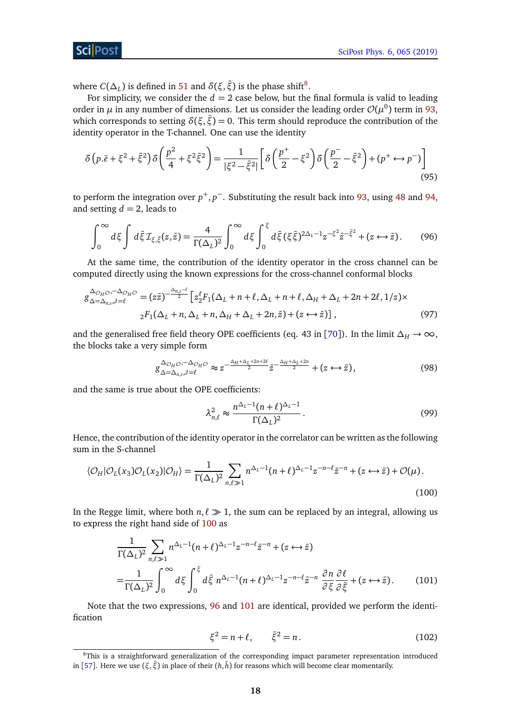## ScilPos<sup>.</sup>

where  $C(\Delta_L)$  is defined in [51](#page-9-6) and  $\delta(\xi, \bar{\xi})$  is the phase shift<sup>[8](#page-17-0)</sup>.

For simplicity, we consider the  $d = 2$  case below, but the final formula is valid to leading order in  $\mu$  in any number of dimensions. Let us consider the leading order  $\mathcal{O}(\mu^0)$  term in [93,](#page-16-2) which corresponds to setting  $\delta(\xi, \bar{\xi}) = 0$ . This term should reproduce the contribution of the identity operator in the T-channel. One can use the identity

$$
\delta(p.\bar{e} + \xi^2 + \bar{\xi}^2)\delta\left(\frac{p^2}{4} + \xi^2\xi^2\right) = \frac{1}{|\xi^2 - \bar{\xi}^2|} \left[\delta\left(\frac{p^+}{2} - \xi^2\right)\delta\left(\frac{p^-}{2} - \bar{\xi}^2\right) + (p^+ \leftrightarrow p^-)\right]
$$
\n(95)

to perform the integration over *p* <sup>+</sup>, *p* <sup>−</sup>. Substituting the result back into [93,](#page-16-2) using [48](#page-9-2) and [94,](#page-16-3) and setting  $d = 2$ , leads to

$$
\int_0^\infty d\xi \int d\bar{\xi} \mathcal{I}_{\xi,\bar{\xi}}(z,\bar{z}) = \frac{4}{\Gamma(\Delta_L)^2} \int_0^\infty d\xi \int_0^{\xi} d\bar{\xi} (\xi \bar{\xi})^{2\Delta_L - 1} z^{-\xi^2} \bar{z}^{-\bar{\xi}^2} + (z \leftrightarrow \bar{z}).\tag{96}
$$

At the same time, the contribution of the identity operator in the cross channel can be computed directly using the known expressions for the cross-channel conformal blocks

$$
g_{\Delta=\Delta_{n,s},J=\ell}^{\Delta_{\mathcal{O}_H\mathcal{O}},-\Delta_{\mathcal{O}_H\mathcal{O}}} = (z\bar{z})^{-\frac{\Delta_{n,s}-\ell}{2}} \left[ z_2^{\ell} F_1(\Delta_L + n + \ell, \Delta_L + n + \ell, \Delta_H + \Delta_L + 2n + 2\ell, 1/z) \times \right. \\
 \left. \left. \begin{array}{l} 2F_1(\Delta_L + n, \Delta_L + n, \Delta_H + \Delta_L + 2n, \bar{z}) + (z \leftrightarrow \bar{z}) \end{array} \right], \right. \tag{97}
$$

and the generalised free field theory OPE coefficients (eq. 43 in [[70](#page-37-2)]). In the limit  $\Delta_H \to \infty$ , the blocks take a very simple form

$$
g_{\Delta=\Delta_{n,s},J=\ell}^{\Delta_{\mathcal{O}_H\mathcal{O}},-\Delta_{\mathcal{O}_H\mathcal{O}}} \approx z^{-\frac{\Delta_H+\Delta_L+2n+2\ell}{2}}\bar{z}^{-\frac{\Delta_H+\Delta_L+2n}{2}} + (z \leftrightarrow \bar{z}), \tag{98}
$$

and the same is true about the OPE coefficients:

<span id="page-17-2"></span><span id="page-17-1"></span>
$$
\lambda_{n,\ell}^2 \approx \frac{n^{\Delta_L - 1} (n + \ell)^{\Delta_L - 1}}{\Gamma(\Delta_L)^2}.
$$
\n(99)

Hence, the contribution of the identity operator in the correlator can be written as the following sum in the S-channel

$$
\langle \mathcal{O}_H | \mathcal{O}_L(x_3) \mathcal{O}_L(x_2) | \mathcal{O}_H \rangle = \frac{1}{\Gamma(\Delta_L)^2} \sum_{n,\ell \gg 1} n^{\Delta_L - 1} (n + \ell)^{\Delta_L - 1} z^{-n - \ell} \bar{z}^{-n} + (z \leftrightarrow \bar{z}) + \mathcal{O}(\mu). \tag{100}
$$

In the Regge limit, where both  $n, \ell \gg 1$ , the sum can be replaced by an integral, allowing us to express the right hand side of [100](#page-17-1) as

$$
\frac{1}{\Gamma(\Delta_L)^2} \sum_{n,\ell \gg 1} n^{\Delta_L - 1} (n + \ell)^{\Delta_L - 1} z^{-n - \ell} \bar{z}^{-n} + (z \leftrightarrow \bar{z})
$$
\n
$$
= \frac{1}{\Gamma(\Delta_L)^2} \int_0^\infty d\xi \int_0^{\xi} d\bar{\xi} n^{\Delta_L - 1} (n + \ell)^{\Delta_L - 1} z^{-n - \ell} \bar{z}^{-n} \frac{\partial n}{\partial \xi} \frac{\partial \ell}{\partial \bar{\xi}} + (z \leftrightarrow \bar{z}).
$$
\n(101)

Note that the two expressions, [96](#page-17-2) and [101](#page-17-3) are identical, provided we perform the identification

<span id="page-17-3"></span>
$$
\xi^2 = n + \ell, \qquad \bar{\xi}^2 = n. \tag{102}
$$

<span id="page-17-0"></span><sup>8</sup>This is a straightforward generalization of the corresponding impact parameter representation introduced in [[57](#page-35-4)]. Here we use (*ξ*, *ξ*̄) in place of their (*h*, *h*̄) for reasons which will become clear momentarily.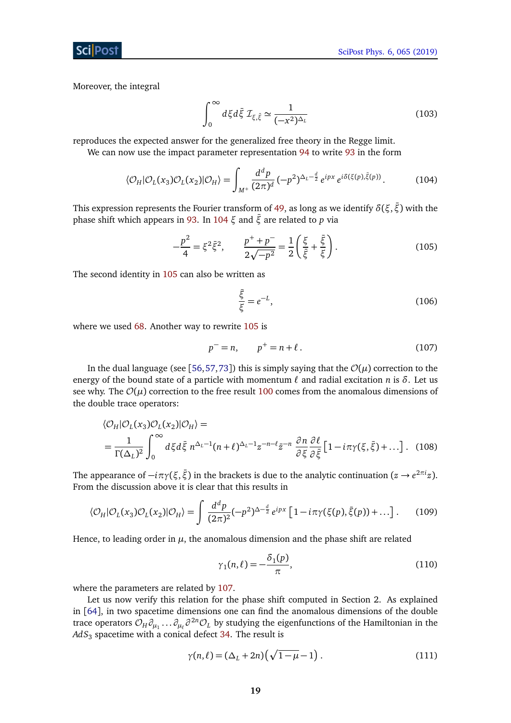## ScilPost

Moreover, the integral

$$
\int_0^\infty d\xi d\bar{\xi} \,\mathcal{I}_{\xi,\bar{\xi}} \simeq \frac{1}{(-x^2)^{\Delta_L}}\tag{103}
$$

reproduces the expected answer for the generalized free theory in the Regge limit.

We can now use the impact parameter representation [94](#page-16-3) to write [93](#page-16-2) in the form

$$
\langle \mathcal{O}_H | \mathcal{O}_L(x_3) \mathcal{O}_L(x_2) | \mathcal{O}_H \rangle = \int_{M^+} \frac{d^d p}{(2\pi)^d} \, (-p^2)^{\Delta_L - \frac{d}{2}} \, e^{ipx} \, e^{i\delta(\xi(p), \bar{\xi}(p))} . \tag{104}
$$

This expression represents the Fourier transform of [49,](#page-9-5) as long as we identify *δ*(*ξ*,*ξ*¯) with the phase shift which appears in [93.](#page-16-2) In [104](#page-18-0) *ξ* and *ξ*¯ are related to *p* via

$$
-\frac{p^2}{4} = \xi^2 \bar{\xi}^2, \qquad \frac{p^+ + p^-}{2\sqrt{-p^2}} = \frac{1}{2} \left( \frac{\xi}{\bar{\xi}} + \frac{\bar{\xi}}{\xi} \right). \tag{105}
$$

The second identity in [105](#page-18-1) can also be written as

<span id="page-18-2"></span><span id="page-18-1"></span><span id="page-18-0"></span>
$$
\frac{\bar{\xi}}{\xi} = e^{-L},\tag{106}
$$

where we used [68.](#page-12-4) Another way to rewrite [105](#page-18-1) is

$$
p^{-} = n, \qquad p^{+} = n + \ell. \tag{107}
$$

In the dual language (see [[56,](#page-36-1)[57,](#page-35-4)[73](#page-37-3)]) this is simply saying that the  $\mathcal{O}(\mu)$  correction to the energy of the bound state of a particle with momentum  $\ell$  and radial excitation *n* is  $\delta$ . Let us see why. The  $\mathcal{O}(\mu)$  correction to the free result [100](#page-17-1) comes from the anomalous dimensions of the double trace operators:

$$
\langle \mathcal{O}_H | \mathcal{O}_L(x_3) \mathcal{O}_L(x_2) | \mathcal{O}_H \rangle =
$$
  
=  $\frac{1}{\Gamma(\Delta_L)^2} \int_0^\infty d\xi d\bar{\xi} n^{\Delta_L - 1} (n + \ell)^{\Delta_L - 1} z^{-n - \ell} \bar{z}^{-n} \frac{\partial n}{\partial \xi} \frac{\partial \ell}{\partial \bar{\xi}} [1 - i\pi \gamma(\xi, \bar{\xi}) + ...].$  (108)

The appearance of  $-i\pi\gamma(\xi,\bar{\xi})$  in the brackets is due to the analytic continuation ( $z \to e^{2\pi i}z$ ). From the discussion above it is clear that this results in

$$
\langle \mathcal{O}_H | \mathcal{O}_L(x_3) \mathcal{O}_L(x_2) | \mathcal{O}_H \rangle = \int \frac{d^d p}{(2\pi)^2} (-p^2)^{\Delta - \frac{d}{2}} e^{ipx} \left[ 1 - i\pi \gamma(\xi(p), \bar{\xi}(p)) + \dots \right]. \tag{109}
$$

Hence, to leading order in  $\mu$ , the anomalous dimension and the phase shift are related

<span id="page-18-4"></span><span id="page-18-3"></span>
$$
\gamma_1(n,\ell) = -\frac{\delta_1(p)}{\pi},\tag{110}
$$

where the parameters are related by [107.](#page-18-2)

Let us now verify this relation for the phase shift computed in Section 2. As explained in [[64](#page-36-8)], in two spacetime dimensions one can find the anomalous dimensions of the double trace operators  $\mathcal{O}_H\partial_{\mu_1}\dots\partial_{\mu_\ell}\partial^{2n}\mathcal{O}_L$  by studying the eigenfunctions of the Hamiltonian in the  $AdS_3$  spacetime with a conical defect [34.](#page-7-6) The result is

$$
\gamma(n,\ell) = (\Delta_L + 2n) \left( \sqrt{1 - \mu} - 1 \right). \tag{111}
$$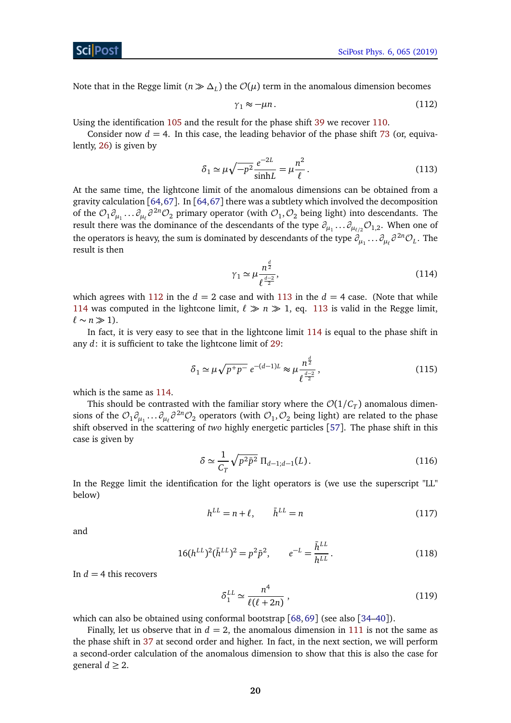Sci Post

Note that in the Regge limit ( $n \gg \Delta_L$ ) the  $\mathcal{O}(\mu)$  term in the anomalous dimension becomes

<span id="page-19-1"></span><span id="page-19-0"></span>
$$
\gamma_1 \approx -\mu n. \tag{112}
$$

Using the identification [105](#page-18-1) and the result for the phase shift [39](#page-7-7) we recover [110.](#page-18-3)

Consider now  $d = 4$ . In this case, the leading behavior of the phase shift [73](#page-12-5) (or, equivalently, [26\)](#page-5-4) is given by

$$
\delta_1 \simeq \mu \sqrt{-p^2} \frac{e^{-2L}}{\sinh L} = \mu \frac{n^2}{\ell}.
$$
\n(113)

At the same time, the lightcone limit of the anomalous dimensions can be obtained from a gravity calculation [[64,](#page-36-8)[67](#page-36-10)]. In [[64,](#page-36-8)[67](#page-36-10)] there was a subtlety which involved the decomposition of the  $\mathcal{O}_1\partial_{\mu_1}\dots\partial_{\mu_\ell}\partial^{2n}\mathcal{O}_2$  primary operator (with  $\mathcal{O}_1,\mathcal{O}_2$  being light) into descendants. The result there was the dominance of the descendants of the type  $\partial_{\mu_1}...\partial_{\mu_{\ell/2}}{\cal O}_{1,2}$ . When one of the operators is heavy, the sum is dominated by descendants of the type  $\partial_{\mu_1}\dots\partial_{\mu_\ell}\partial^{2n}\mathcal{O}_L$ . The result is then

<span id="page-19-2"></span>
$$
\gamma_1 \simeq \mu \frac{n^{\frac{d}{2}}}{\ell^{\frac{d-2}{2}}},\tag{114}
$$

which agrees with [112](#page-19-0) in the  $d = 2$  case and with [113](#page-19-1) in the  $d = 4$  case. (Note that while [114](#page-19-2) was computed in the lightcone limit,  $\ell \gg n \gg 1$ , eq. [113](#page-19-1) is valid in the Regge limit,  $\ell$  ∼ *n*  $\gg$  1).

In fact, it is very easy to see that in the lightcone limit [114](#page-19-2) is equal to the phase shift in any *d*: it is sufficient to take the lightcone limit of [29:](#page-6-3)

$$
\delta_1 \simeq \mu \sqrt{p^+ p^-} \, e^{-(d-1)L} \approx \mu \frac{n^{\frac{d}{2}}}{\ell^{\frac{d-2}{2}}},\tag{115}
$$

which is the same as [114.](#page-19-2)

This should be contrasted with the familiar story where the  $\mathcal{O}(1/\mathcal{C}_T)$  anomalous dimensions of the  $\mathcal{O}_1\partial_{\mu_1}\dots\partial_{\mu_\ell}\partial^{2n}\mathcal{O}_2$  operators (with  $\mathcal{O}_1,\mathcal{O}_2$  being light) are related to the phase shift observed in the scattering of *two* highly energetic particles [[57](#page-35-4)]. The phase shift in this case is given by

$$
\delta \simeq \frac{1}{C_T} \sqrt{p^2 \bar{p}^2} \, \Pi_{d-1; d-1}(L). \tag{116}
$$

In the Regge limit the identification for the light operators is (we use the superscript "LL" below)

$$
h^{LL} = n + \ell, \qquad \bar{h}^{LL} = n \tag{117}
$$

and

$$
16(h^{LL})^2(\bar{h}^{LL})^2 = p^2\bar{p}^2, \qquad e^{-L} = \frac{\bar{h}^{LL}}{h^{LL}}.
$$
\n(118)

In  $d = 4$  this recovers

$$
\delta_1^{LL} \simeq \frac{n^4}{\ell(\ell+2n)}\,,\tag{119}
$$

which can also be obtained using conformal bootstrap [[68,](#page-36-11)[69](#page-37-4)] (see also [[34–](#page-34-5)[40](#page-35-5)]).

Finally, let us observe that in  $d = 2$ , the anomalous dimension in [111](#page-18-4) is not the same as the phase shift in [37](#page-7-5) at second order and higher. In fact, in the next section, we will perform a second-order calculation of the anomalous dimension to show that this is also the case for general  $d \geq 2$ .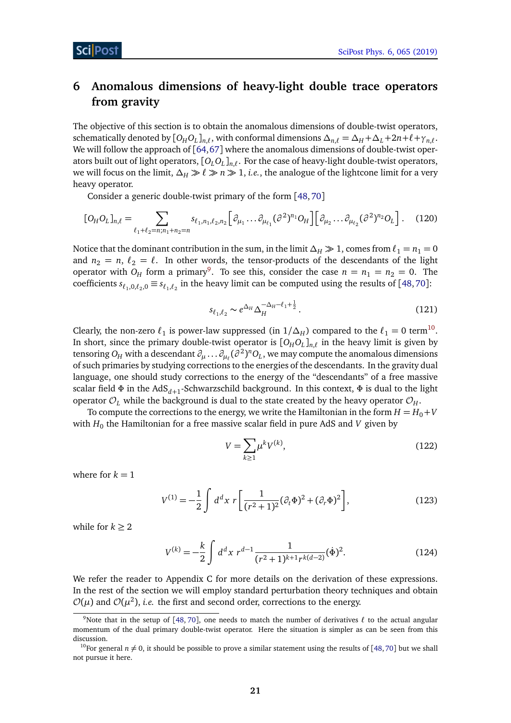# <span id="page-20-0"></span>**6 Anomalous dimensions of heavy-light double trace operators from gravity**

The objective of this section is to obtain the anomalous dimensions of double-twist operators, schematically denoted by  $[O_H O_L]_{n,\ell}$ , with conformal dimensions  $\Delta_{n,\ell} = \Delta_H + \Delta_L + 2n + \ell + \gamma_{n,\ell}$ . We will follow the approach of [[64,](#page-36-8)[67](#page-36-10)] where the anomalous dimensions of double-twist operators built out of light operators, [*OLO<sup>L</sup>* ]*n*,*`* . For the case of heavy-light double-twist operators, we will focus on the limit,  $\Delta_H \gg \ell \gg n \gg 1$ , *i.e.*, the analogue of the lightcone limit for a very heavy operator.

Consider a generic double-twist primary of the form [[48,](#page-35-6)[70](#page-37-2)]

$$
[O_H O_L]_{n,\ell} = \sum_{\ell_1 + \ell_2 = n; n_1 + n_2 = n} s_{\ell_1, n_1, \ell_2, n_2} \Big[ \partial_{\mu_1} \dots \partial_{\mu_{\ell_1}} (\partial^2)^{n_1} O_H \Big] \Big[ \partial_{\mu_2} \dots \partial_{\mu_{\ell_2}} (\partial^2)^{n_2} O_L \Big].
$$
 (120)

Notice that the dominant contribution in the sum, in the limit  $\Delta_H \gg 1$ , comes from  $\ell_1 = n_1 = 0$ and  $n_2 = n$ ,  $\ell_2 = \ell$ . In other words, the tensor-products of the descendants of the light operator with  $O_H$  form a primary<sup>[9](#page-20-1)</sup>. To see this, consider the case  $n = n_1 = n_2 = 0$ . The coefficients  $s_{\ell_1,0,\ell_2,0} \equiv s_{\ell_1,\ell_2}$  in the heavy limit can be computed using the results of [[48,](#page-35-6)[70](#page-37-2)]:

$$
s_{\ell_1,\ell_2} \sim e^{\Delta_H} \Delta_H^{-\Delta_H - \ell_1 + \frac{1}{2}}.
$$
\n(121)

Clearly, the non-zero  $\ell_1$  is power-law suppressed (in  $1/\Delta_H$ ) compared to the  $\ell_1 = 0$  term<sup>[10](#page-20-2)</sup>. In short, since the primary double-twist operator is  $[O_H O_L]_{n,\ell}$  in the heavy limit is given by tensoring  $O_H$  with a descendant  $\partial_\mu \dots \partial_{\mu_\ell} (\partial^2)^n O_L$  , we may compute the anomalous dimensions of such primaries by studying corrections to the energies of the descendants. In the gravity dual language, one should study corrections to the energy of the "descendants" of a free massive scalar field Φ in the AdS<sub>d+1</sub>-Schwarzschild background. In this context, Φ is dual to the light operator  $\mathcal{O}_L$  while the background is dual to the state created by the heavy operator  $\mathcal{O}_H$ .

To compute the corrections to the energy, we write the Hamiltonian in the form  $H = H_0 + V$ with  $H_0$  the Hamiltonian for a free massive scalar field in pure AdS and *V* given by

$$
V = \sum_{k \ge 1} \mu^k V^{(k)},\tag{122}
$$

where for  $k = 1$ 

$$
V^{(1)} = -\frac{1}{2} \int d^d x \ r \left[ \frac{1}{(r^2 + 1)^2} (\partial_t \Phi)^2 + (\partial_r \Phi)^2 \right],
$$
 (123)

while for  $k \geq 2$ 

$$
V^{(k)} = -\frac{k}{2} \int d^d x \ r^{d-1} \frac{1}{(r^2 + 1)^{k+1} r^{k(d-2)}} (\dot{\Phi})^2.
$$
 (124)

We refer the reader to Appendix C for more details on the derivation of these expressions. In the rest of the section we will employ standard perturbation theory techniques and obtain  $\mathcal{O}(\mu)$  and  $\mathcal{O}(\mu^2)$ , *i.e.* the first and second order, corrections to the energy.

<span id="page-20-1"></span><sup>&</sup>lt;sup>9</sup>Note that in the setup of [[48,](#page-35-6) [70](#page-37-2)], one needs to match the number of derivatives  $\ell$  to the actual angular momentum of the dual primary double-twist operator. Here the situation is simpler as can be seen from this discussion.

<span id="page-20-2"></span><sup>&</sup>lt;sup>10</sup>For general  $n \neq 0$ , it should be possible to prove a similar statement using the results of [[48,](#page-35-6)[70](#page-37-2)] but we shall not pursue it here.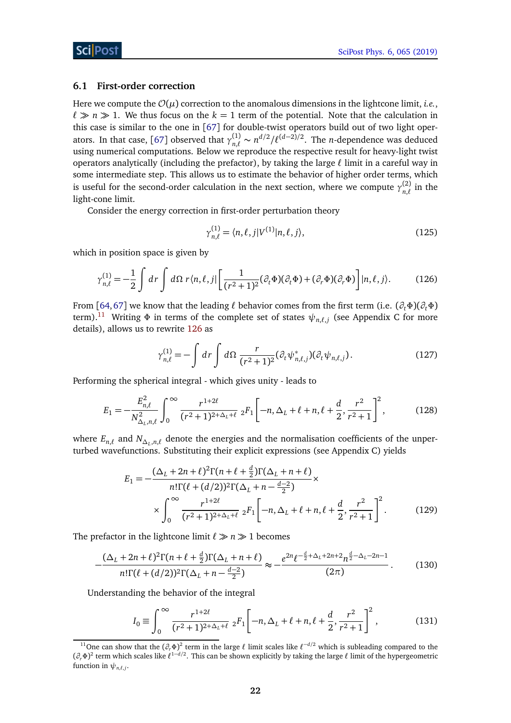#### <span id="page-21-0"></span>**6.1 First-order correction**

Here we compute the  $\mathcal{O}(\mu)$  correction to the anomalous dimensions in the lightcone limit, *i.e.*,  $\ell \gg n \gg 1$ . We thus focus on the  $k = 1$  term of the potential. Note that the calculation in this case is similar to the one in [[67](#page-36-10)] for double-twist operators build out of two light oper-ators. In that case, [[67](#page-36-10)] observed that  $\gamma_{n,\ell}^{(1)}$  $n_{n,\ell}^{(1)}$  ∼ *n<sup>d/2</sup>/* $\ell^{(d-2)/2}$ . The *n*-dependence was deduced using numerical computations. Below we reproduce the respective result for heavy-light twist operators analytically (including the prefactor), by taking the large  $\ell$  limit in a careful way in some intermediate step. This allows us to estimate the behavior of higher order terms, which is useful for the second-order calculation in the next section, where we compute  $\gamma_{n\ell}^{(2)}$  $\sum_{n,\ell}^{(2)}$  in the light-cone limit.

Consider the energy correction in first-order perturbation theory

<span id="page-21-2"></span>
$$
\gamma_{n,\ell}^{(1)} = \langle n,\ell,j|V^{(1)}|n,\ell,j\rangle,\tag{125}
$$

which in position space is given by

$$
\gamma_{n,\ell}^{(1)} = -\frac{1}{2} \int dr \int d\Omega \, r \langle n,\ell,j| \left[ \frac{1}{(r^2+1)^2} (\partial_t \Phi)(\partial_t \Phi) + (\partial_r \Phi)(\partial_r \Phi) \right] |n,\ell,j\rangle. \tag{126}
$$

From [[64,](#page-36-8)[67](#page-36-10)] we know that the leading  $\ell$  behavior comes from the first term (i.e.  $(\partial_t \Phi)(\partial_t \Phi)$ term). $^{11}$  $^{11}$  $^{11}$  Writing  $\Phi$  in terms of the complete set of states  $\psi_{n,\ell,j}$  (see Appendix C for more details), allows us to rewrite [126](#page-21-2) as

$$
\gamma_{n,\ell}^{(1)} = -\int dr \int d\Omega \frac{r}{(r^2+1)^2} (\partial_t \psi_{n,\ell,j}^*) (\partial_t \psi_{n,\ell,j}). \tag{127}
$$

Performing the spherical integral - which gives unity - leads to

$$
E_1 = -\frac{E_{n,\ell}^2}{N_{\Delta_L,n,\ell}^2} \int_0^\infty \frac{r^{1+2\ell}}{(r^2+1)^{2+\Delta_L+\ell}} \; {}_2F_1\bigg[-n,\Delta_L+\ell+n,\ell+\frac{d}{2},\frac{r^2}{r^2+1}\bigg]^2,\tag{128}
$$

where  $E_{n,\ell}$  and  $N_{\Delta_L,n,\ell}$  denote the energies and the normalisation coefficients of the unperturbed wavefunctions. Substituting their explicit expressions (see Appendix C) yields

$$
E_1 = -\frac{(\Delta_L + 2n + \ell)^2 \Gamma(n + \ell + \frac{d}{2}) \Gamma(\Delta_L + n + \ell)}{n! \Gamma(\ell + (d/2))^2 \Gamma(\Delta_L + n - \frac{d-2}{2})} \times \int_0^\infty \frac{r^{1+2\ell}}{(r^2 + 1)^{2+\Delta_L + \ell}} \, {}_2F_1 \left[ -n, \Delta_L + \ell + n, \ell + \frac{d}{2}, \frac{r^2}{r^2 + 1} \right]^2. \tag{129}
$$

The prefactor in the lightcone limit  $\ell \gg n \gg 1$  becomes

$$
-\frac{(\Delta_L + 2n + \ell)^2 \Gamma(n + \ell + \frac{d}{2}) \Gamma(\Delta_L + n + \ell)}{n! \Gamma(\ell + (d/2))^2 \Gamma(\Delta_L + n - \frac{d-2}{2})} \approx -\frac{e^{2n} \ell^{-\frac{d}{2} + \Delta_L + 2n + 2} n^{\frac{d}{2} - \Delta_L - 2n - 1}}{(2\pi)}.
$$
 (130)

Understanding the behavior of the integral

<span id="page-21-3"></span>
$$
I_0 \equiv \int_0^\infty \frac{r^{1+2\ell}}{(r^2+1)^{2+\Delta_L+\ell}} \; {}_2F_1 \left[ -n, \Delta_L+\ell+n, \ell+\frac{d}{2}, \frac{r^2}{r^2+1} \right]^2, \tag{131}
$$

<span id="page-21-1"></span><sup>&</sup>lt;sup>11</sup>One can show that the  $(\partial_r \Phi)^2$  term in the large  $\ell$  limit scales like  $\ell^{-d/2}$  which is subleading compared to the  $(\partial_r \Phi)^2$  term which scales like  $\ell^{1-d/2}$ . This can be shown explicitly by taking the large  $\ell$  limit of the hypergeometric function in  $\psi_{n,\ell,j}$ .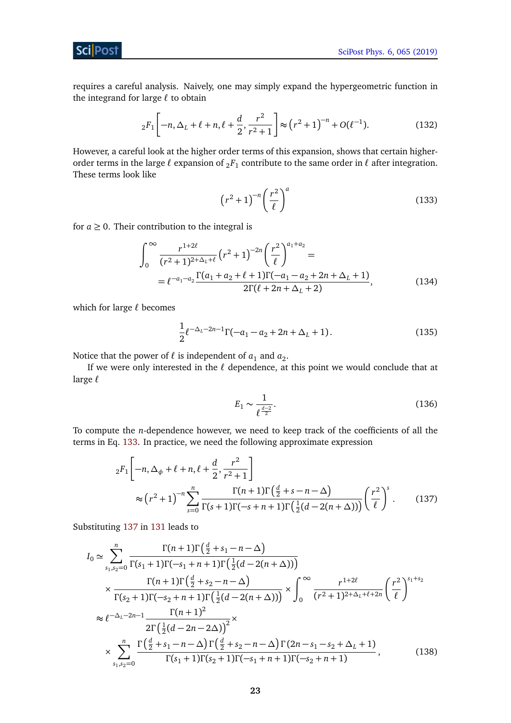**Sci** Post

requires a careful analysis. Naively, one may simply expand the hypergeometric function in the integrand for large  $\ell$  to obtain

$$
{}_2F_1\left[-n,\Delta_L+\ell+n,\ell+\frac{d}{2},\frac{r^2}{r^2+1}\right] \approx \left(r^2+1\right)^{-n} + O(\ell^{-1}).\tag{132}
$$

However, a careful look at the higher order terms of this expansion, shows that certain higherorder terms in the large  $\ell$  expansion of  $_2F_1$  contribute to the same order in  $\ell$  after integration. These terms look like

<span id="page-22-0"></span>
$$
\left(r^2+1\right)^{-n}\left(\frac{r^2}{\ell}\right)^a\tag{133}
$$

for  $a \geq 0$ . Their contribution to the integral is

$$
\int_0^\infty \frac{r^{1+2\ell}}{(r^2+1)^{2+\Delta_L+\ell}} \left(r^2+1\right)^{-2n} \left(\frac{r^2}{\ell}\right)^{a_1+a_2} =
$$
\n
$$
= \ell^{-a_1-a_2} \frac{\Gamma(a_1+a_2+\ell+1)\Gamma(-a_1-a_2+2n+\Delta_L+1)}{2\Gamma(\ell+2n+\Delta_L+2)},
$$
\n(134)

which for large  $\ell$  becomes

$$
\frac{1}{2} \ell^{-\Delta_L - 2n - 1} \Gamma(-a_1 - a_2 + 2n + \Delta_L + 1).
$$
 (135)

Notice that the power of  $\ell$  is independent of  $a_1$  and  $a_2$ .

If we were only interested in the  $\ell$  dependence, at this point we would conclude that at large  $\ell$ 

<span id="page-22-1"></span>
$$
E_1 \sim \frac{1}{\ell^{\frac{d-2}{2}}}.\tag{136}
$$

To compute the *n*-dependence however, we need to keep track of the coefficients of all the terms in Eq. [133.](#page-22-0) In practice, we need the following approximate expression

$$
{}_{2}F_{1}\left[-n,\Delta_{\phi}+\ell+n,\ell+\frac{d}{2},\frac{r^{2}}{r^{2}+1}\right] \approx (r^{2}+1)^{-n}\sum_{s=0}^{n}\frac{\Gamma(n+1)\Gamma(\frac{d}{2}+s-n-\Delta)}{\Gamma(s+1)\Gamma(-s+n+1)\Gamma(\frac{1}{2}(d-2(n+\Delta)))}\left(\frac{r^{2}}{\ell}\right)^{s}.
$$
 (137)

Substituting [137](#page-22-1) in [131](#page-21-3) leads to

$$
I_0 \simeq \sum_{s_1, s_2=0}^n \frac{\Gamma(n+1)\Gamma(\frac{d}{2} + s_1 - n - \Delta)}{\Gamma(s_1 + 1)\Gamma(-s_1 + n + 1)\Gamma(\frac{1}{2}(d - 2(n + \Delta)))}
$$
  
\n
$$
\times \frac{\Gamma(n+1)\Gamma(\frac{d}{2} + s_2 - n - \Delta)}{\Gamma(s_2 + 1)\Gamma(-s_2 + n + 1)\Gamma(\frac{1}{2}(d - 2(n + \Delta)))} \times \int_0^\infty \frac{r^{1+2\ell}}{(r^2 + 1)^{2+\Delta_L + \ell + 2n}} \left(\frac{r^2}{\ell}\right)^{s_1 + s_2}
$$
  
\n
$$
\approx \ell^{-\Delta_L - 2n - 1} \frac{\Gamma(n+1)^2}{2\Gamma(\frac{1}{2}(d - 2n - 2\Delta))^2} \times \frac{\Gamma(\frac{d}{2} + s_1 - n - \Delta)\Gamma(\frac{d}{2} + s_2 - n - \Delta)\Gamma(2n - s_1 - s_2 + \Delta_L + 1)}{\Gamma(s_1 + 1)\Gamma(s_2 + 1)\Gamma(-s_1 + n + 1)\Gamma(-s_2 + n + 1)},
$$
(138)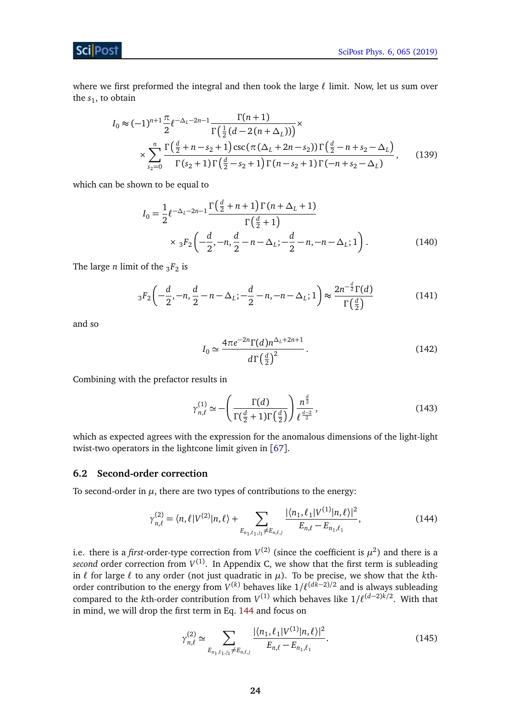where we first preformed the integral and then took the large  $\ell$  limit. Now, let us sum over the  $s_1$ , to obtain

$$
I_0 \approx (-1)^{n+1} \frac{\pi}{2} \ell^{-\Delta_L - 2n - 1} \frac{\Gamma(n+1)}{\Gamma(\frac{1}{2}(d - 2(n + \Delta_L)))} \times \times \sum_{s_2=0}^n \frac{\Gamma(\frac{d}{2} + n - s_2 + 1)\csc(\pi(\Delta_L + 2n - s_2))\Gamma(\frac{d}{2} - n + s_2 - \Delta_L)}{\Gamma(s_2 + 1)\Gamma(\frac{d}{2} - s_2 + 1)\Gamma(n - s_2 + 1)\Gamma(-n + s_2 - \Delta_L)},
$$
(139)

which can be shown to be equal to

$$
I_0 = \frac{1}{2} \ell^{-\Delta_L - 2n - 1} \frac{\Gamma(\frac{d}{2} + n + 1) \Gamma(n + \Delta_L + 1)}{\Gamma(\frac{d}{2} + 1)}
$$
  
 
$$
\times {}_3F_2 \left( -\frac{d}{2}, -n, \frac{d}{2} - n - \Delta_L; -\frac{d}{2} - n, -n - \Delta_L; 1 \right).
$$
 (140)

The large *n* limit of the  $_3F_2$  is

$$
{}_{3}F_{2}\left(-\frac{d}{2},-n,\frac{d}{2}-n-\Delta_{L};-\frac{d}{2}-n,-n-\Delta_{L};1\right) \approx \frac{2n^{-\frac{d}{2}}\Gamma(d)}{\Gamma\left(\frac{d}{2}\right)}
$$
(141)

and so

$$
I_0 \simeq \frac{4\pi e^{-2n} \Gamma(d) n^{\Delta_L + 2n + 1}}{d\Gamma(\frac{d}{2})^2}.
$$
 (142)

Combining with the prefactor results in

<span id="page-23-1"></span>
$$
\gamma_{n,\ell}^{(1)} \simeq -\left(\frac{\Gamma(d)}{\Gamma(\frac{d}{2}+1)\Gamma(\frac{d}{2})}\right) \frac{n^{\frac{d}{2}}}{\ell^{\frac{d-2}{2}}},\tag{143}
$$

which as expected agrees with the expression for the anomalous dimensions of the light-light twist-two operators in the lightcone limit given in [[67](#page-36-10)].

#### <span id="page-23-0"></span>**6.2 Second-order correction**

To second-order in  $\mu$ , there are two types of contributions to the energy:

$$
\gamma_{n,\ell}^{(2)} = \langle n,\ell | V^{(2)} | n,\ell \rangle + \sum_{E_{n_1,\ell_1,j_1} \neq E_{n,\ell,j}} \frac{|\langle n_1,\ell_1 | V^{(1)} | n,\ell \rangle|^2}{E_{n,\ell} - E_{n_1,\ell_1}},\tag{144}
$$

i.e. there is a *first*-order-type correction from  $V^{(2)}$  (since the coefficient is  $\mu^2$ ) and there is a second order correction from  $V^{(1)}$ . In Appendix C, we show that the first term is subleading in  $\ell$  for large  $\ell$  to any order (not just quadratic in  $\mu$ ). To be precise, we show that the *k*thorder contribution to the energy from  $V^{(k)}$  behaves like  $1/\ell^{(d\tilde{k}-2)/2}$  and is always subleading compared to the *k*th-order contribution from  $V^{(1)}$  which behaves like  $1/\ell^{(d-2)k/2}$ . With that in mind, we will drop the first term in Eq. [144](#page-23-1) and focus on

$$
\gamma_{n,\ell}^{(2)} \simeq \sum_{E_{n_1,\ell_1,j_1} \neq E_{n,\ell,j}} \frac{|\langle n_1, \ell_1 | V^{(1)} | n, \ell \rangle|^2}{E_{n,\ell} - E_{n_1,\ell_1}}.
$$
\n(145)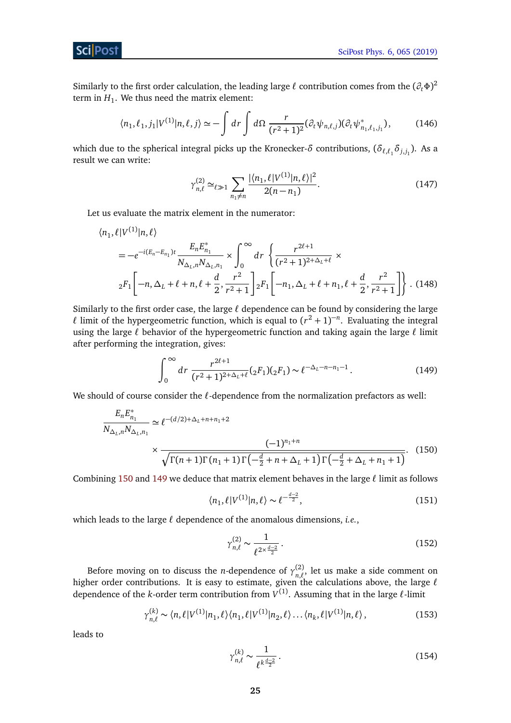

Similarly to the first order calculation, the leading large  $\ell$  contribution comes from the  $(\partial_t \Phi)^2$ term in  $H_1$ . We thus need the matrix element:

$$
\langle n_1, \ell_1, j_1 | V^{(1)} | n, \ell, j \rangle \simeq - \int dr \int d\Omega \, \frac{r}{(r^2 + 1)^2} (\partial_t \psi_{n, \ell, j}) (\partial_t \psi_{n_1, \ell_1, j_1}^*), \tag{146}
$$

which due to the spherical integral picks up the Kronecker- $\delta$  contributions,  $(\delta_{\ell, \ell_1} \delta_{j, j_1})$ . As a result we can write:

$$
\gamma_{n,\ell}^{(2)} \simeq_{\ell \gg 1} \sum_{n_1 \neq n} \frac{|\langle n_1, \ell | V^{(1)} | n, \ell \rangle|^2}{2(n - n_1)}.
$$
\n(147)

Let us evaluate the matrix element in the numerator:

$$
\langle n_1, \ell | V^{(1)} | n, \ell \rangle
$$
  
=  $-e^{-i(E_n - E_{n_1})t} \frac{E_n E_{n_1}^*}{N_{\Delta_L, n} N_{\Delta_L, n_1}} \times \int_0^\infty dr \left\{ \frac{r^{2\ell+1}}{(r^2 + 1)^{2 + \Delta_L + \ell}} \times$   
 ${}_2F_1 \left[ -n, \Delta_L + \ell + n, \ell + \frac{d}{2}, \frac{r^2}{r^2 + 1} \right] {}_2F_1 \left[ -n_1, \Delta_L + \ell + n_1, \ell + \frac{d}{2}, \frac{r^2}{r^2 + 1} \right] \right\}.$  (148)

Similarly to the first order case, the large  $\ell$  dependence can be found by considering the large  $\ell$  limit of the hypergeometric function, which is equal to  $(r^2 + 1)^{-n}$ . Evaluating the integral using the large  $\ell$  behavior of the hypergeometric function and taking again the large  $\ell$  limit after performing the integration, gives:

$$
\int_0^\infty dr \, \frac{r^{2\ell+1}}{(r^2+1)^{2+\Delta_L+\ell}} ({}_2F_1)({}_2F_1) \sim \ell^{-\Delta_L - n - n_1 - 1} \,. \tag{149}
$$

We should of course consider the  $\ell$ -dependence from the normalization prefactors as well:

$$
\frac{E_n E_{n_1}^*}{N_{\Delta_L, n} N_{\Delta_L, n_1}} \simeq \ell^{-(d/2) + \Delta_L + n + n_1 + 2} \times \frac{(-1)^{n_1 + n}}{\sqrt{\Gamma(n+1)\Gamma(n_1 + 1)\Gamma(-\frac{d}{2} + n + \Delta_L + 1)\Gamma(-\frac{d}{2} + \Delta_L + n_1 + 1)}}.
$$
(150)

Combining [150](#page-24-0) and [149](#page-24-1) we deduce that matrix element behaves in the large  $\ell$  limit as follows

<span id="page-24-1"></span>
$$
\langle n_1, \ell | V^{(1)} | n, \ell \rangle \sim \ell^{-\frac{d-2}{2}},\tag{151}
$$

which leads to the large  $\ell$  dependence of the anomalous dimensions, *i.e.*,

<span id="page-24-0"></span>
$$
\gamma_{n,\ell}^{(2)} \sim \frac{1}{\ell^{2 \times \frac{d-2}{2}}} \,. \tag{152}
$$

Before moving on to discuss the *n*-dependence of  $\gamma_{n}^{(2)}$  $n, \ell$ , let us make a side comment on higher order contributions. It is easy to estimate, given the calculations above, the large  $\ell$ dependence of the *k*-order term contribution from  $V^{(1)}$ . Assuming that in the large  $\ell$ -limit

$$
\gamma_{n,\ell}^{(k)} \sim \langle n,\ell | V^{(1)} | n_1,\ell \rangle \langle n_1,\ell | V^{(1)} | n_2,\ell \rangle \dots \langle n_k,\ell | V^{(1)} | n,\ell \rangle, \tag{153}
$$

leads to

<span id="page-24-2"></span>
$$
\gamma_{n,\ell}^{(k)} \sim \frac{1}{\ell^{k\frac{d-2}{2}}}.\tag{154}
$$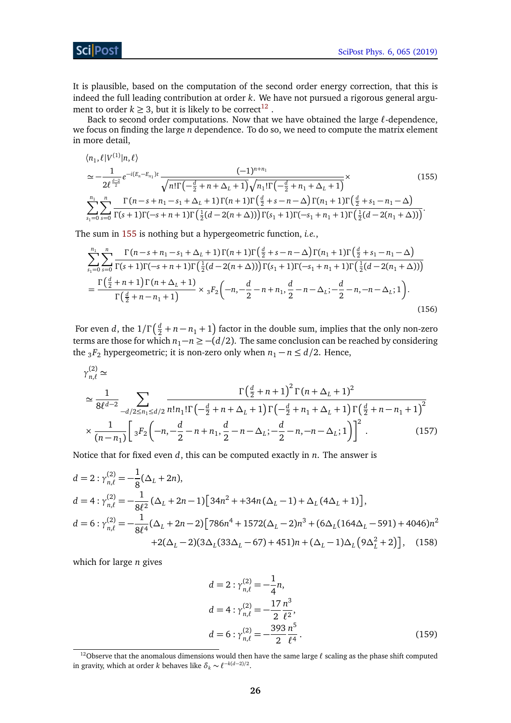**ScilPost** 

It is plausible, based on the computation of the second order energy correction, that this is indeed the full leading contribution at order *k*. We have not pursued a rigorous general argument to order  $k \geq 3$ , but it is likely to be correct<sup>[12](#page-25-0)</sup> .

Back to second order computations. Now that we have obtained the large  $\ell$ -dependence, we focus on finding the large *n* dependence. To do so, we need to compute the matrix element in more detail,

<span id="page-25-1"></span>
$$
\langle n_1, \ell | V^{(1)} | n, \ell \rangle
$$
\n
$$
\simeq -\frac{1}{2\ell^{\frac{d-2}{2}}} e^{-i(E_n - E_{n_1})t} \frac{(-1)^{n+n_1}}{\sqrt{n!\Gamma(-\frac{d}{2} + n + \Delta_L + 1)} \sqrt{n_1!\Gamma(-\frac{d}{2} + n_1 + \Delta_L + 1)}} \times
$$
\n
$$
\sum_{s_1=0}^{n_1} \sum_{s=0}^n \frac{\Gamma(n-s+n_1-s_1+\Delta_L+1)\Gamma(n+1)\Gamma(\frac{d}{2}+s-n-\Delta)\Gamma(n_1+1)\Gamma(\frac{d}{2}+s_1-n_1-\Delta)}{\Gamma(s+1)\Gamma(-s+n+1)\Gamma(\frac{1}{2}(d-2(n+\Delta)))\Gamma(s_1+1)\Gamma(-s_1+n_1+1)\Gamma(\frac{1}{2}(d-2(n_1+\Delta)))}.
$$
\n(155)

The sum in [155](#page-25-1) is nothing but a hypergeometric function, *i.e.*,

$$
\sum_{s_1=0}^{n_1} \sum_{s=0}^n \frac{\Gamma(n-s+n_1-s_1+\Delta_L+1)\Gamma(n+1)\Gamma(\frac{d}{2}+s-n-\Delta)\Gamma(n_1+1)\Gamma(\frac{d}{2}+s_1-n_1-\Delta)}{\Gamma(s+1)\Gamma(n+1)\Gamma(\frac{1}{2}(d-2(n+\Delta)))\Gamma(s_1+1)\Gamma(-s_1+n_1+1)\Gamma(\frac{1}{2}(d-2(n_1+\Delta)))}
$$
  
= 
$$
\frac{\Gamma(\frac{d}{2}+n+1)\Gamma(n+\Delta_L+1)}{\Gamma(\frac{d}{2}+n-n_1+1)} \times {}_3F_2\left(-n, -\frac{d}{2}-n+n_1, \frac{d}{2}-n-\Delta_L; -\frac{d}{2}-n, -n-\Delta_L; 1\right).
$$
 (156)

For even *d*, the  $1/\Gamma\left(\frac{d}{2} + n - n_1 + 1\right)$  factor in the double sum, implies that the only non-zero terms are those for which  $n_1$ − $n$  ≥ −( $d/2$ ). The same conclusion can be reached by considering the <sub>3</sub> $F_2$  hypergeometric; it is non-zero only when  $n_1 - n \le d/2$ . Hence,

$$
\gamma_{n,\ell}^{(2)} \simeq \frac{1}{8\ell^{d-2}} \sum_{-d/2 \le n_1 \le d/2} \frac{\Gamma(\frac{d}{2} + n + 1)^2 \Gamma(n + \Delta_L + 1)^2}{n! n_1! \Gamma(-\frac{d}{2} + n + \Delta_L + 1) \Gamma(-\frac{d}{2} + n_1 + \Delta_L + 1) \Gamma(\frac{d}{2} + n - n_1 + 1)^2} \times \frac{1}{(n - n_1)} \left[ {}_3F_2 \left( -n, -\frac{d}{2} - n + n_1, \frac{d}{2} - n - \Delta_L; -\frac{d}{2} - n, -n - \Delta_L; 1 \right) \right]^2. \tag{157}
$$

Notice that for fixed even *d*, this can be computed exactly in *n*. The answer is

$$
d = 2 : \gamma_{n,\ell}^{(2)} = -\frac{1}{8} (\Delta_L + 2n),
$$
  
\n
$$
d = 4 : \gamma_{n,\ell}^{(2)} = -\frac{1}{8\ell^2} (\Delta_L + 2n - 1) \Big[ 34n^2 + 34n (\Delta_L - 1) + \Delta_L (4\Delta_L + 1) \Big],
$$
  
\n
$$
d = 6 : \gamma_{n,\ell}^{(2)} = -\frac{1}{8\ell^4} (\Delta_L + 2n - 2) \Big[ 786n^4 + 1572(\Delta_L - 2)n^3 + (6\Delta_L (164\Delta_L - 591) + 4046)n^2
$$
  
\n
$$
+2(\Delta_L - 2)(3\Delta_L (33\Delta_L - 67) + 451)n + (\Delta_L - 1)\Delta_L (9\Delta_L^2 + 2) \Big], \quad (158)
$$

which for large *n* gives

$$
d = 2 : \gamma_{n,\ell}^{(2)} = -\frac{1}{4}n,
$$
  
\n
$$
d = 4 : \gamma_{n,\ell}^{(2)} = -\frac{17}{2}\frac{n^3}{\ell^2},
$$
  
\n
$$
d = 6 : \gamma_{n,\ell}^{(2)} = -\frac{393}{2}\frac{n^5}{\ell^4}.
$$
\n(159)

<span id="page-25-0"></span><sup>&</sup>lt;sup>12</sup>Observe that the anomalous dimensions would then have the same large  $\ell$  scaling as the phase shift computed in gravity, which at order *k* behaves like  $\delta_k \sim \ell^{-k(d-2)/2}$ .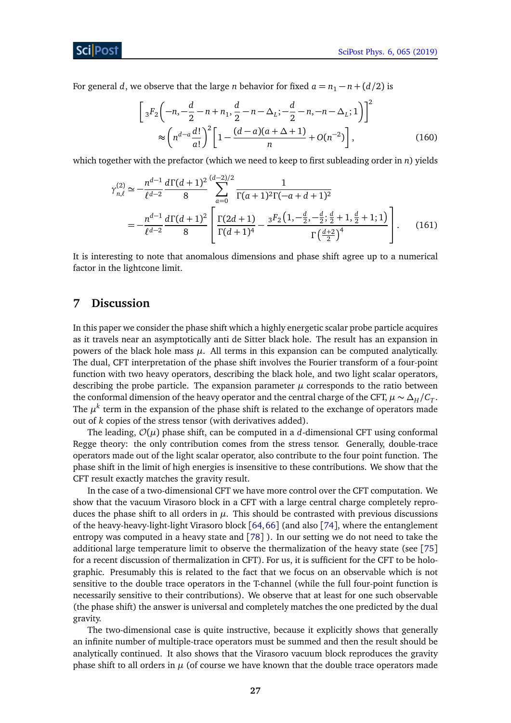For general *d*, we observe that the large *n* behavior for fixed  $a = n_1 - n + (d/2)$  is

$$
\[3F_2\left(-n, -\frac{d}{2} - n + n_1, \frac{d}{2} - n - \Delta_L; -\frac{d}{2} - n, -n - \Delta_L; 1\right)\]^2
$$
  
\$\approx \left(n^{d-a}\frac{d!}{a!}\right)^2 \left[1 - \frac{(d-a)(a+\Delta+1)}{n} + O(n^{-2})\right], \tag{160}

which together with the prefactor (which we need to keep to first subleading order in *n*) yields

$$
\gamma_{n,\ell}^{(2)} \simeq -\frac{n^{d-1}}{\ell^{d-2}} \frac{d\Gamma(d+1)^2}{8} \sum_{a=0}^{(d-2)/2} \frac{1}{\Gamma(a+1)^2 \Gamma(-a+d+1)^2}
$$
  
= 
$$
-\frac{n^{d-1}}{\ell^{d-2}} \frac{d\Gamma(d+1)^2}{8} \left[ \frac{\Gamma(2d+1)}{\Gamma(d+1)^4} - \frac{{}_3F_2\left(1, -\frac{d}{2}, -\frac{d}{2}; \frac{d}{2}+1, \frac{d}{2}+1; 1\right)}{\Gamma\left(\frac{d+2}{2}\right)^4} \right].
$$
 (161)

It is interesting to note that anomalous dimensions and phase shift agree up to a numerical factor in the lightcone limit.

## <span id="page-26-0"></span>**7 Discussion**

In this paper we consider the phase shift which a highly energetic scalar probe particle acquires as it travels near an asymptotically anti de Sitter black hole. The result has an expansion in powers of the black hole mass  $\mu$ . All terms in this expansion can be computed analytically. The dual, CFT interpretation of the phase shift involves the Fourier transform of a four-point function with two heavy operators, describing the black hole, and two light scalar operators, describing the probe particle. The expansion parameter  $\mu$  corresponds to the ratio between the conformal dimension of the heavy operator and the central charge of the CFT,  $\mu \sim \Delta_H / C_T$ . The  $\mu^k$  term in the expansion of the phase shift is related to the exchange of operators made out of *k* copies of the stress tensor (with derivatives added).

The leading,  $\mathcal{O}(\mu)$  phase shift, can be computed in a *d*-dimensional CFT using conformal Regge theory: the only contribution comes from the stress tensor. Generally, double-trace operators made out of the light scalar operator, also contribute to the four point function. The phase shift in the limit of high energies is insensitive to these contributions. We show that the CFT result exactly matches the gravity result.

In the case of a two-dimensional CFT we have more control over the CFT computation. We show that the vacuum Virasoro block in a CFT with a large central charge completely reproduces the phase shift to all orders in  $\mu$ . This should be contrasted with previous discussions of the heavy-heavy-light-light Virasoro block [[64,](#page-36-8)[66](#page-36-9)] (and also [[74](#page-37-5)], where the entanglement entropy was computed in a heavy state and [[78](#page-37-6)] ). In our setting we do not need to take the additional large temperature limit to observe the thermalization of the heavy state (see [[75](#page-37-7)] for a recent discussion of thermalization in CFT). For us, it is sufficient for the CFT to be holographic. Presumably this is related to the fact that we focus on an observable which is not sensitive to the double trace operators in the T-channel (while the full four-point function is necessarily sensitive to their contributions). We observe that at least for one such observable (the phase shift) the answer is universal and completely matches the one predicted by the dual gravity.

The two-dimensional case is quite instructive, because it explicitly shows that generally an infinite number of multiple-trace operators must be summed and then the result should be analytically continued. It also shows that the Virasoro vacuum block reproduces the gravity phase shift to all orders in  $\mu$  (of course we have known that the double trace operators made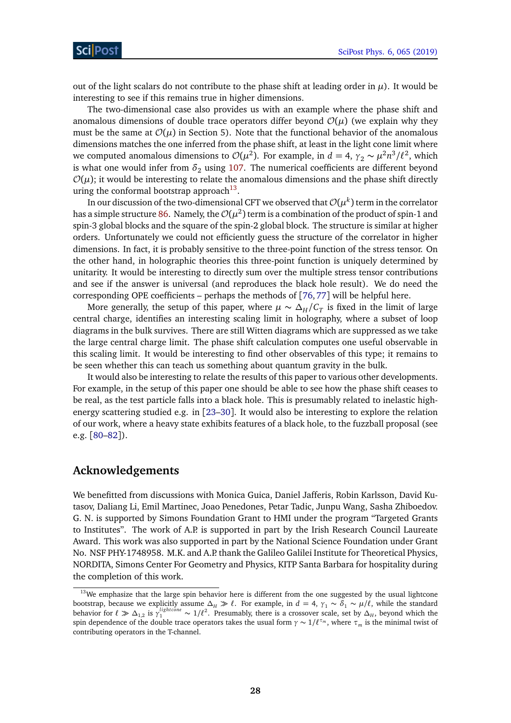out of the light scalars do not contribute to the phase shift at leading order in  $\mu$ ). It would be interesting to see if this remains true in higher dimensions.

The two-dimensional case also provides us with an example where the phase shift and anomalous dimensions of double trace operators differ beyond  $\mathcal{O}(\mu)$  (we explain why they must be the same at  $\mathcal{O}(\mu)$  in Section 5). Note that the functional behavior of the anomalous dimensions matches the one inferred from the phase shift, at least in the light cone limit where we computed anomalous dimensions to  $\mathcal{O}(\mu^2)$ . For example, in  $d = 4$ ,  $\gamma_2 \sim \mu^2 n^3/\ell^2$ , which is what one would infer from  $\delta_2$  using [107.](#page-18-2) The numerical coefficients are different beyond  $\mathcal{O}(\mu)$ ; it would be interesting to relate the anomalous dimensions and the phase shift directly uring the conformal bootstrap approach<sup>[13](#page-27-0)</sup>.

In our discussion of the two-dimensional CFT we observed that  $\mathcal{O}(\mu^k)$  term in the correlator has a simple structure [86.](#page-15-2) Namely, the  $\mathcal{O}(\mu^2)$  term is a combination of the product of spin-1 and spin-3 global blocks and the square of the spin-2 global block. The structure is similar at higher orders. Unfortunately we could not efficiently guess the structure of the correlator in higher dimensions. In fact, it is probably sensitive to the three-point function of the stress tensor. On the other hand, in holographic theories this three-point function is uniquely determined by unitarity. It would be interesting to directly sum over the multiple stress tensor contributions and see if the answer is universal (and reproduces the black hole result). We do need the corresponding OPE coefficients – perhaps the methods of  $[76, 77]$  $[76, 77]$  $[76, 77]$  $[76, 77]$  $[76, 77]$  will be helpful here.

More generally, the setup of this paper, where  $\mu \sim \Delta_H/C_T$  is fixed in the limit of large central charge, identifies an interesting scaling limit in holography, where a subset of loop diagrams in the bulk survives. There are still Witten diagrams which are suppressed as we take the large central charge limit. The phase shift calculation computes one useful observable in this scaling limit. It would be interesting to find other observables of this type; it remains to be seen whether this can teach us something about quantum gravity in the bulk.

It would also be interesting to relate the results of this paper to various other developments. For example, in the setup of this paper one should be able to see how the phase shift ceases to be real, as the test particle falls into a black hole. This is presumably related to inelastic highenergy scattering studied e.g. in [[23–](#page-34-6)[30](#page-34-7)]. It would also be interesting to explore the relation of our work, where a heavy state exhibits features of a black hole, to the fuzzball proposal (see e.g. [[80–](#page-37-10)[82](#page-37-11)]).

## **Acknowledgements**

We benefitted from discussions with Monica Guica, Daniel Jafferis, Robin Karlsson, David Kutasov, Daliang Li, Emil Martinec, Joao Penedones, Petar Tadic, Junpu Wang, Sasha Zhiboedov. G. N. is supported by Simons Foundation Grant to HMI under the program "Targeted Grants to Institutes". The work of A.P. is supported in part by the Irish Research Council Laureate Award. This work was also supported in part by the National Science Foundation under Grant No. NSF PHY-1748958. M.K. and A.P. thank the Galileo Galilei Institute for Theoretical Physics, NORDITA, Simons Center For Geometry and Physics, KITP Santa Barbara for hospitality during the completion of this work.

<span id="page-27-0"></span> $13$ We emphasize that the large spin behavior here is different from the one suggested by the usual lightcone bootstrap, because we explicitly assume  $\Delta_H \gg \ell$ . For example, in  $d = 4$ ,  $\gamma_1 \sim \delta_1 \sim \mu/\ell$ , while the standard behavior for  $\ell \gg \Delta_{1,2}$  is  $\gamma_1^{lightcone} \sim 1/\ell^2$ . Presumably, there is a crossover scale, set by  $\Delta_H$ , beyond which the spin dependence of the double trace operators takes the usual form  $\gamma \sim 1/\ell^{\tau_m}$ , where  $\tau_m$  is the minimal twist of contributing operators in the T-channel.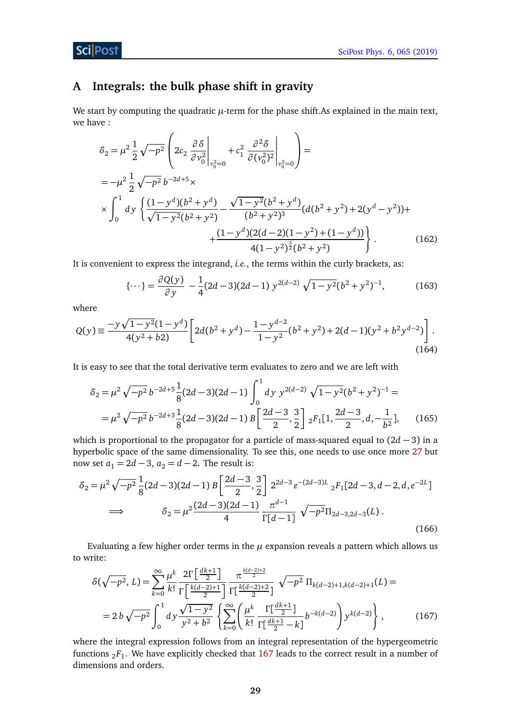## **ScilPost**

# <span id="page-28-0"></span>**A Integrals: the bulk phase shift in gravity**

We start by computing the quadratic  $\mu$ -term for the phase shift.As explained in the main text, we have :

$$
\delta_2 = \mu^2 \frac{1}{2} \sqrt{-p^2} \left( 2c_2 \frac{\partial \delta}{\partial v_0^2} \Big|_{v_0^2 = 0} + c_1^2 \frac{\partial^2 \delta}{\partial (v_0^2)^2} \Big|_{v_0^2 = 0} \right) =
$$
\n
$$
= -\mu^2 \frac{1}{2} \sqrt{-p^2} b^{-2d+5} \times
$$
\n
$$
\times \int_0^1 dy \left\{ \frac{(1 - y^d)(b^2 + y^d)}{\sqrt{1 - y^2}(b^2 + y^2)} - \frac{\sqrt{1 - y^2}(b^2 + y^d)}{(b^2 + y^2)^3} (d(b^2 + y^2) + 2(y^d - y^2)) + \frac{(1 - y^d)(2(d - 2)(1 - y^2) + (1 - y^d))}{4(1 - y^2)^{\frac{3}{2}}(b^2 + y^2)} \right\}.
$$
\n(162)

It is convenient to express the integrand, *i.e.*, the terms within the curly brackets, as:

$$
\{\cdots\} = \frac{\partial Q(y)}{\partial y} - \frac{1}{4}(2d - 3)(2d - 1) y^{2(d - 2)} \sqrt{1 - y^2} (b^2 + y^2)^{-1},\tag{163}
$$

where

$$
Q(y) \equiv \frac{-y\sqrt{1-y^2}(1-y^d)}{4(y^2+b2)} \left[ 2d(b^2+y^d) - \frac{1-y^{d-2}}{1-y^2}(b^2+y^2) + 2(d-1)(y^2+b^2y^{d-2}) \right].
$$
\n(164)

It is easy to see that the total derivative term evaluates to zero and we are left with

$$
\delta_2 = \mu^2 \sqrt{-p^2} b^{-2d+5} \frac{1}{8} (2d-3)(2d-1) \int_0^1 dy \ y^{2(d-2)} \sqrt{1-y^2} (b^2 + y^2)^{-1} =
$$
  
= 
$$
\mu^2 \sqrt{-p^2} b^{-2d+3} \frac{1}{8} (2d-3)(2d-1) B \left[ \frac{2d-3}{2}, \frac{3}{2} \right] {}_2F_1[1, \frac{2d-3}{2}, d, -\frac{1}{b^2}], \quad (165)
$$

which is proportional to the propagator for a particle of mass-squared equal to  $(2d-3)$  in a hyperbolic space of the same dimensionality. To see this, one needs to use once more [27](#page-6-4) but now set  $a_1 = 2d - 3$ ,  $a_2 = d - 2$ . The result is:

$$
\delta_2 = \mu^2 \sqrt{-p^2} \frac{1}{8} (2d - 3)(2d - 1) B \left[ \frac{2d - 3}{2}, \frac{3}{2} \right] 2^{2d - 3} e^{-(2d - 3)L} {}_2F_1[2d - 3, d - 2, d, e^{-2L}]
$$
  
\n
$$
\implies \qquad \delta_2 = \mu^2 \frac{(2d - 3)(2d - 1)}{4} \frac{\pi^{d - 1}}{\Gamma[d - 1]} \sqrt{-p^2} \Pi_{2d - 3, 2d - 3}(L) .
$$
\n(166)

Evaluating a few higher order terms in the *µ* expansion reveals a pattern which allows us to write:

<span id="page-28-1"></span>
$$
\delta(\sqrt{-p^2}, L) = \sum_{k=0}^{\infty} \frac{\mu^k}{k!} \frac{2\Gamma\left[\frac{dk+1}{2}\right]}{\Gamma\left[\frac{k(d-2)+1}{2}\right]} \frac{\pi^{\frac{k(d-2)+2}{2}}}{\Gamma\left[\frac{k(d-2)+1}{2}\right]} \sqrt{-p^2} \Pi_{k(d-2)+1,k(d-2)+1}(L) =
$$
\n
$$
= 2 b \sqrt{-p^2} \int_0^1 dy \frac{\sqrt{1-y^2}}{y^2 + b^2} \left\{ \sum_{k=0}^{\infty} \left( \frac{\mu^k}{k!} \frac{\Gamma\left[\frac{dk+1}{2}\right]}{\Gamma\left[\frac{dk+1}{2} - k\right]} b^{-k(d-2)} \right) y^{k(d-2)} \right\},
$$
\n(167)

where the integral expression follows from an integral representation of the hypergeometric functions <sup>2</sup>*F*<sup>1</sup> . We have explicitly checked that [167](#page-28-1) leads to the correct result in a number of dimensions and orders.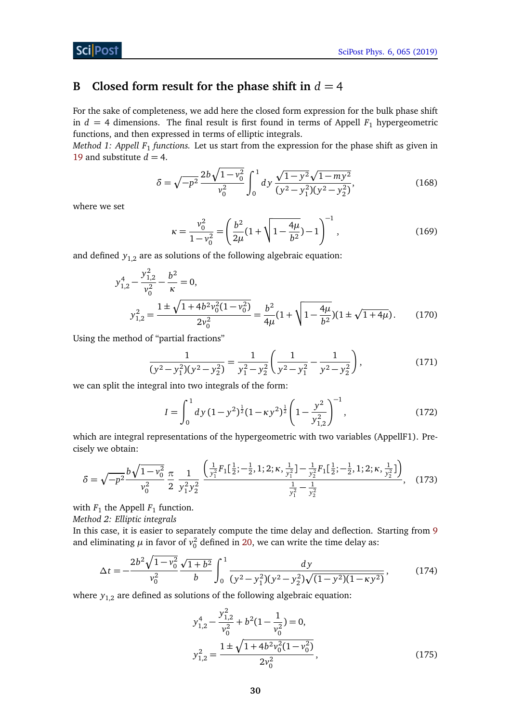# <span id="page-29-0"></span>**B Closed form result for the phase shift in**  $d = 4$

For the sake of completeness, we add here the closed form expression for the bulk phase shift in  $d = 4$  dimensions. The final result is first found in terms of Appell  $F_1$  hypergeometric functions, and then expressed in terms of elliptic integrals.

*Method 1: Appell F*<sup>1</sup> *functions.* Let us start from the expression for the phase shift as given in [19](#page-5-2) and substitute  $d = 4$ .

$$
\delta = \sqrt{-p^2} \frac{2b\sqrt{1 - v_0^2}}{v_0^2} \int_0^1 dy \frac{\sqrt{1 - y^2}\sqrt{1 - my^2}}{(y^2 - y_1^2)(y^2 - y_2^2)},
$$
(168)

where we set

$$
\kappa = \frac{v_0^2}{1 - v_0^2} = \left(\frac{b^2}{2\mu}(1 + \sqrt{1 - \frac{4\mu}{b^2}}) - 1\right)^{-1},\tag{169}
$$

and defined  $y_{1,2}$  are as solutions of the following algebraic equation:

$$
y_{1,2}^4 - \frac{y_{1,2}^2}{v_0^2} - \frac{b^2}{\kappa} = 0,
$$
  

$$
y_{1,2}^2 = \frac{1 \pm \sqrt{1 + 4b^2 v_0^2 (1 - v_0^2)}}{2v_0^2} = \frac{b^2}{4\mu} (1 + \sqrt{1 - \frac{4\mu}{b^2}}) (1 \pm \sqrt{1 + 4\mu}).
$$
 (170)

Using the method of "partial fractions"

$$
\frac{1}{(y^2 - y_1^2)(y^2 - y_2^2)} = \frac{1}{y_1^2 - y_2^2} \left( \frac{1}{y^2 - y_1^2} - \frac{1}{y^2 - y_2^2} \right),\tag{171}
$$

we can split the integral into two integrals of the form:

$$
I = \int_0^1 dy \, (1 - y^2)^{\frac{1}{2}} (1 - \kappa y^2)^{\frac{1}{2}} \left( 1 - \frac{y^2}{y_{1,2}^2} \right)^{-1},\tag{172}
$$

which are integral representations of the hypergeometric with two variables (AppellF1). Precisely we obtain:

$$
\delta = \sqrt{-p^2} \frac{b\sqrt{1 - v_0^2}}{v_0^2} \frac{\pi}{2} \frac{1}{y_1^2 y_2^2} \frac{\left(\frac{1}{y_1^2} F_1\left[\frac{1}{2}; -\frac{1}{2}, 1; 2; \kappa, \frac{1}{y_1^2}\right] - \frac{1}{y_2^2} F_1\left[\frac{1}{2}; -\frac{1}{2}, 1; 2; \kappa, \frac{1}{y_2^2}\right]\right)}{\frac{1}{y_1^2} - \frac{1}{y_2^2}},
$$
(173)

with  $F_1$  the Appell  $F_1$  function.

*Method 2: Elliptic integrals*

In this case, it is easier to separately compute the time delay and deflection. Starting from [9](#page-3-2) and eliminating  $\mu$  in favor of  $v_0^2$  defined in [20,](#page-5-5) we can write the time delay as:

$$
\Delta t = -\frac{2b^2\sqrt{1 - v_0^2}}{v_0^2} \frac{\sqrt{1 + b^2}}{b} \int_0^1 \frac{dy}{(y^2 - y_1^2)(y^2 - y_2^2)\sqrt{(1 - y^2)(1 - \kappa y^2)}},\tag{174}
$$

where  $y_{1,2}$  are defined as solutions of the following algebraic equation:

<span id="page-29-1"></span>
$$
y_{1,2}^4 - \frac{y_{1,2}^2}{v_0^2} + b^2 (1 - \frac{1}{v_0^2}) = 0,
$$
  

$$
y_{1,2}^2 = \frac{1 \pm \sqrt{1 + 4b^2 v_0^2 (1 - v_0^2)}}{2v_0^2},
$$
 (175)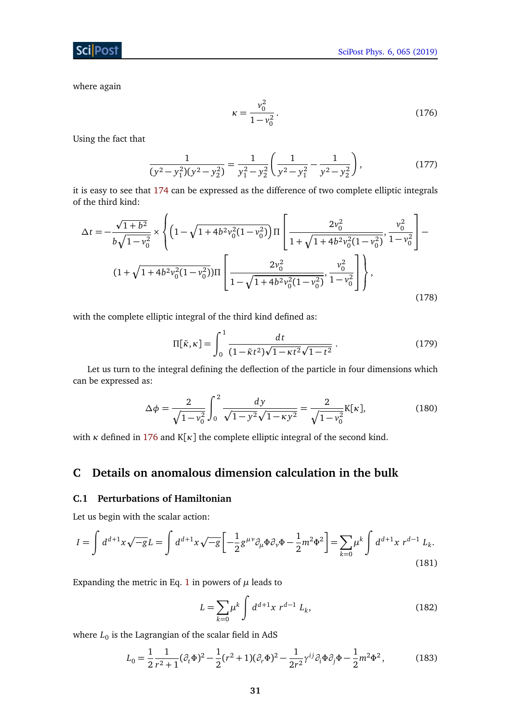where again

**Sci** Post

<span id="page-30-2"></span>
$$
\kappa = \frac{v_0^2}{1 - v_0^2} \,. \tag{176}
$$

Using the fact that

$$
\frac{1}{(y^2 - y_1^2)(y^2 - y_2^2)} = \frac{1}{y_1^2 - y_2^2} \left( \frac{1}{y^2 - y_1^2} - \frac{1}{y^2 - y_2^2} \right),
$$
(177)

it is easy to see that [174](#page-29-1) can be expressed as the difference of two complete elliptic integrals of the third kind:

$$
\Delta t = -\frac{\sqrt{1+b^2}}{b\sqrt{1-v_0^2}} \times \left\{ \left( 1 - \sqrt{1+4b^2v_0^2(1-v_0^2)} \right) \Pi \left[ \frac{2v_0^2}{1+\sqrt{1+4b^2v_0^2(1-v_0^2)}}, \frac{v_0^2}{1-v_0^2} \right] - \frac{2v_0^2}{1+\sqrt{1+4b^2v_0^2(1-v_0^2)}}, \frac{v_0^2}{1-v_0^2} \right\} \right\},\tag{178}
$$

with the complete elliptic integral of the third kind defined as:

$$
\Pi[\tilde{\kappa}, \kappa] = \int_0^1 \frac{dt}{(1 - \tilde{\kappa}t^2)\sqrt{1 - \kappa t^2}\sqrt{1 - t^2}}.
$$
\n(179)

Let us turn to the integral defining the deflection of the particle in four dimensions which can be expressed as:

$$
\Delta \phi = \frac{2}{\sqrt{1 - v_0^2}} \int_0^2 \frac{dy}{\sqrt{1 - y^2} \sqrt{1 - \kappa y^2}} = \frac{2}{\sqrt{1 - v_0^2}} K[\kappa],
$$
(180)

with *κ* defined in [176](#page-30-2) and  $K[\kappa]$  the complete elliptic integral of the second kind.

# <span id="page-30-0"></span>**C Details on anomalous dimension calculation in the bulk**

## <span id="page-30-1"></span>**C.1 Perturbations of Hamiltonian**

Let us begin with the scalar action:

$$
I = \int d^{d+1}x \sqrt{-g} L = \int d^{d+1}x \sqrt{-g} \left[ -\frac{1}{2} g^{\mu\nu} \partial_{\mu} \Phi \partial_{\nu} \Phi - \frac{1}{2} m^2 \Phi^2 \right] = \sum_{k=0} \mu^k \int d^{d+1}x \ r^{d-1} L_k.
$$
\n(181)

Expanding the metric in Eq. [1](#page-2-2) in powers of  $\mu$  leads to

$$
L = \sum_{k=0} \mu^k \int d^{d+1}x \ r^{d-1} \ L_k,\tag{182}
$$

where  $L_0$  is the Lagrangian of the scalar field in AdS  $\,$ 

$$
L_0 = \frac{1}{2} \frac{1}{r^2 + 1} (\partial_t \Phi)^2 - \frac{1}{2} (r^2 + 1) (\partial_r \Phi)^2 - \frac{1}{2r^2} \gamma^{ij} \partial_i \Phi \partial_j \Phi - \frac{1}{2} m^2 \Phi^2,
$$
 (183)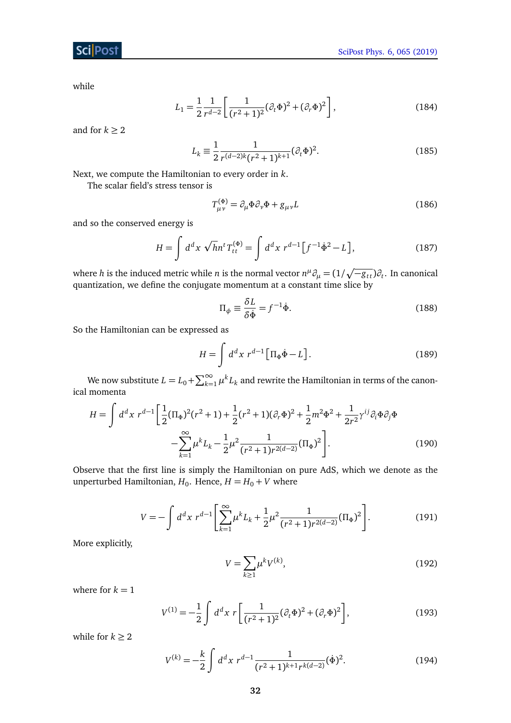## Sci Post

while

$$
L_1 = \frac{1}{2} \frac{1}{r^{d-2}} \left[ \frac{1}{(r^2 + 1)^2} (\partial_t \Phi)^2 + (\partial_r \Phi)^2 \right],
$$
 (184)

and for  $k \geq 2$ 

$$
L_k \equiv \frac{1}{2} \frac{1}{r^{(d-2)k} (r^2 + 1)^{k+1}} (\partial_t \Phi)^2.
$$
 (185)

Next, we compute the Hamiltonian to every order in *k*.

The scalar field's stress tensor is

$$
T^{(\Phi)}_{\mu\nu} = \partial_{\mu}\Phi \partial_{\nu}\Phi + g_{\mu\nu}L\tag{186}
$$

and so the conserved energy is

$$
H = \int d^d x \sqrt{h} n^t T_{tt}^{(\Phi)} = \int d^d x \ r^{d-1} \left[ f^{-1} \dot{\Phi}^2 - L \right],
$$
 (187)

where *h* is the induced metric while *n* is the normal vector  $n^\mu\partial_\mu = (1/\sqrt{-g_{tt}})\partial_t.$  In canonical quantization, we define the conjugate momentum at a constant time slice by

$$
\Pi_{\phi} \equiv \frac{\delta L}{\delta \dot{\Phi}} = f^{-1} \dot{\Phi}.
$$
\n(188)

So the Hamiltonian can be expressed as

$$
H = \int d^d x \ r^{d-1} \left[ \Pi_{\Phi} \dot{\Phi} - L \right]. \tag{189}
$$

We now substitute  $L = L_0 + \sum_{k=1}^{\infty} \mu^k L_k$  and rewrite the Hamiltonian in terms of the canonical momenta

$$
H = \int d^d x \ r^{d-1} \left[ \frac{1}{2} (\Pi_{\Phi})^2 (r^2 + 1) + \frac{1}{2} (r^2 + 1) (\partial_r \Phi)^2 + \frac{1}{2} m^2 \Phi^2 + \frac{1}{2r^2} \gamma^{ij} \partial_i \Phi \partial_j \Phi - \sum_{k=1}^{\infty} \mu^k L_k - \frac{1}{2} \mu^2 \frac{1}{(r^2 + 1)r^{2(d-2)}} (\Pi_{\Phi})^2 \right].
$$
 (190)

Observe that the first line is simply the Hamiltonian on pure AdS, which we denote as the unperturbed Hamiltonian,  $H_0$ . Hence,  $H = H_0 + V$  where

$$
V = -\int d^d x \ r^{d-1} \left[ \sum_{k=1}^{\infty} \mu^k L_k + \frac{1}{2} \mu^2 \frac{1}{(r^2 + 1)r^{2(d-2)}} (\Pi_{\Phi})^2 \right].
$$
 (191)

More explicitly,

$$
V = \sum_{k \ge 1} \mu^k V^{(k)},\tag{192}
$$

where for  $k = 1$ 

$$
V^{(1)} = -\frac{1}{2} \int d^d x \ r \left[ \frac{1}{(r^2 + 1)^2} (\partial_t \Phi)^2 + (\partial_r \Phi)^2 \right],
$$
 (193)

while for  $k \geq 2$ 

$$
V^{(k)} = -\frac{k}{2} \int d^d x \ r^{d-1} \frac{1}{(r^2 + 1)^{k+1} r^{k(d-2)}} (\dot{\Phi})^2.
$$
 (194)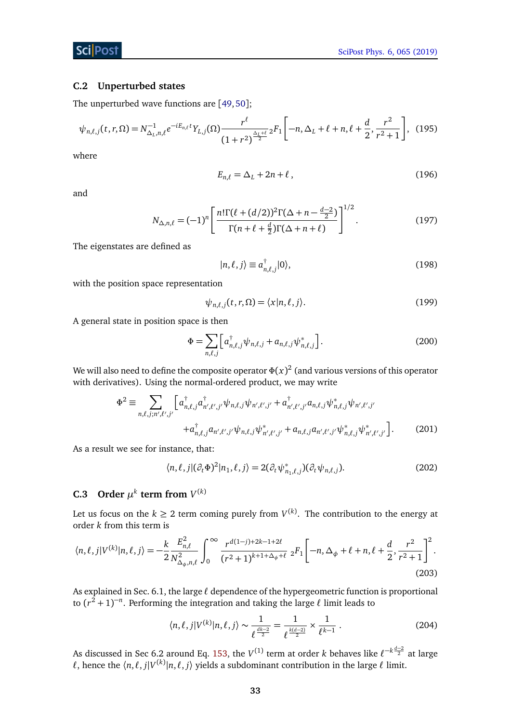#### <span id="page-32-0"></span>**C.2 Unperturbed states**

The unperturbed wave functions are [[49,](#page-35-7)[50](#page-35-8)];

$$
\psi_{n,\ell,j}(t,r,\Omega) = N_{\Delta_L,n,\ell}^{-1} e^{-iE_{n,\ell}t} Y_{L,j}(\Omega) \frac{r^{\ell}}{(1+r^2)^{\frac{\Delta_L+\ell}{2}}} {}_2F_1\left[-n,\Delta_L+\ell+n,\ell+\frac{d}{2},\frac{r^2}{r^2+1}\right],
$$
 (195)

where

$$
E_{n,\ell} = \Delta_L + 2n + \ell, \qquad (196)
$$

and

$$
N_{\Delta,n,\ell} = (-1)^n \left[ \frac{n! \Gamma(\ell + (d/2))^2 \Gamma(\Delta + n - \frac{d-2}{2})}{\Gamma(n + \ell + \frac{d}{2}) \Gamma(\Delta + n + \ell)} \right]^{1/2}.
$$
 (197)

The eigenstates are defined as

$$
|n,\ell,j\rangle \equiv a_{n,\ell,j}^{\dagger}|0\rangle,\tag{198}
$$

with the position space representation

$$
\psi_{n,\ell,j}(t,r,\Omega) = \langle x|n,\ell,j\rangle. \tag{199}
$$

A general state in position space is then

$$
\Phi = \sum_{n,\ell,j} \left[ a_{n,\ell,j}^{\dagger} \psi_{n,\ell,j} + a_{n,\ell,j} \psi_{n,\ell,j}^{*} \right].
$$
 (200)

We will also need to define the composite operator  $\Phi(x)^2$  (and various versions of this operator with derivatives). Using the normal-ordered product, we may write

$$
\Phi^{2} \equiv \sum_{n,\ell,j;n',\ell',j'} \left[ a_{n,\ell,j}^{\dagger} a_{n',\ell',j'}^{\dagger} \psi_{n,\ell,j} \psi_{n',\ell',j'} + a_{n',\ell',j'}^{\dagger} a_{n,\ell,j} \psi_{n,\ell,j}^{*} \psi_{n',\ell',j'} + a_{n,\ell,j}^{\dagger} a_{n',\ell',j'} a_{n,\ell,j} \psi_{n,\ell,j}^{*} \psi_{n',\ell',j'} + a_{n,\ell,j} a_{n',\ell',j'} \psi_{n,\ell,j}^{*} \psi_{n',\ell',j'}^{*} \right].
$$
\n(201)

As a result we see for instance, that:

$$
\langle n, \ell, j | (\partial_t \Phi)^2 | n_1, \ell, j \rangle = 2(\partial_t \psi^*_{n_1, \ell, j})(\partial_t \psi_{n, \ell, j}). \tag{202}
$$

## <span id="page-32-1"></span>**C.3** Order  $\mu^k$  term from  $V^{(k)}$

Let us focus on the  $k \geq 2$  term coming purely from  $V^{(k)}$ . The contribution to the energy at order *k* from this term is

$$
\langle n,\ell,j|V^{(k)}|n,\ell,j\rangle = -\frac{k}{2} \frac{E_{n,\ell}^2}{N_{\Delta_{\phi},n,\ell}^2} \int_0^{\infty} \frac{r^{d(1-j)+2k-1+2\ell}}{(r^2+1)^{k+1+\Delta_{\phi}+\ell}} \; {}_2F_1\bigg[-n,\Delta_{\phi}+\ell+n,\ell+\frac{d}{2},\frac{r^2}{r^2+1}\bigg]^2. \tag{203}
$$

As explained in Sec. 6.1, the large  $\ell$  dependence of the hypergeometric function is proportional to  $(r^2 + 1)^{-n}$ . Performing the integration and taking the large  $\ell$  limit leads to

<span id="page-32-2"></span>
$$
\langle n, \ell, j | V^{(k)} | n, \ell, j \rangle \sim \frac{1}{\ell^{\frac{dk-2}{2}}} = \frac{1}{\ell^{\frac{k(d-2)}{2}}} \times \frac{1}{\ell^{k-1}}.
$$
 (204)

As discussed in Sec 6.2 around Eq. [153,](#page-24-2) the  $V^{(1)}$  term at order *k* behaves like  $\ell^{-k\frac{d-2}{2}}$  at large  $\ell$ , hence the  $\langle n, \ell, j | V^{(k)} | n, \ell, j \rangle$  yields a subdominant contribution in the large  $\ell$  limit.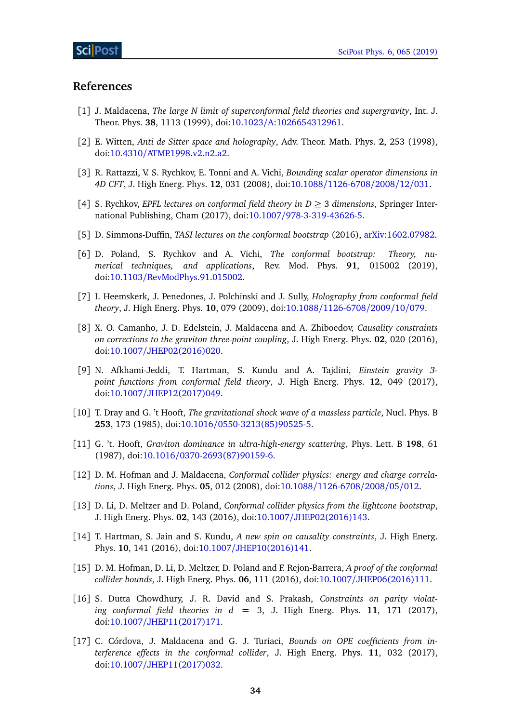## **References**

- <span id="page-33-0"></span>[1] J. Maldacena, *The large N limit of superconformal field theories and supergravity*, Int. J. Theor. Phys. **38**, 1113 (1999), doi:10.1023/[A:1026654312961.](http://dx.doi.org/10.1023/A:1026654312961)
- <span id="page-33-1"></span>[2] E. Witten, *Anti de Sitter space and holography*, Adv. Theor. Math. Phys. **2**, 253 (1998), doi:10.4310/[ATMP.1998.v2.n2.a2.](http://dx.doi.org/10.4310/ATMP.1998.v2.n2.a2)
- <span id="page-33-2"></span>[3] R. Rattazzi, V. S. Rychkov, E. Tonni and A. Vichi, *Bounding scalar operator dimensions in 4D CFT*, J. High Energ. Phys. **12**, 031 (2008), doi:10.1088/[1126-6708](http://dx.doi.org/10.1088/1126-6708/2008/12/031)/2008/12/031.
- <span id="page-33-3"></span>[4] S. Rychkov, *EPFL lectures on conformal field theory in D* ≥ 3 *dimensions*, Springer International Publishing, Cham (2017), doi:10.1007/[978-3-319-43626-5.](http://dx.doi.org/10.1007/978-3-319-43626-5)
- [5] D. Simmons-Duffin, *TASI lectures on the conformal bootstrap* (2016), [arXiv:1602.07982.](https://arxiv.org/abs/1602.07982)
- <span id="page-33-4"></span>[6] D. Poland, S. Rychkov and A. Vichi, *The conformal bootstrap: Theory, numerical techniques, and applications*, Rev. Mod. Phys. **91**, 015002 (2019), doi:10.1103/[RevModPhys.91.015002.](http://dx.doi.org/10.1103/RevModPhys.91.015002)
- <span id="page-33-5"></span>[7] I. Heemskerk, J. Penedones, J. Polchinski and J. Sully, *Holography from conformal field theory*, J. High Energ. Phys. **10**, 079 (2009), doi:10.1088/[1126-6708](http://dx.doi.org/10.1088/1126-6708/2009/10/079)/2009/10/079.
- <span id="page-33-8"></span>[8] X. O. Camanho, J. D. Edelstein, J. Maldacena and A. Zhiboedov, *Causality constraints on corrections to the graviton three-point coupling*, J. High Energ. Phys. **02**, 020 (2016), doi:10.1007/[JHEP02\(2016\)020.](http://dx.doi.org/10.1007/JHEP02(2016)020)
- <span id="page-33-9"></span>[9] N. Afkhami-Jeddi, T. Hartman, S. Kundu and A. Tajdini, *Einstein gravity 3 point functions from conformal field theory*, J. High Energ. Phys. **12**, 049 (2017), doi:10.1007/[JHEP12\(2017\)049.](http://dx.doi.org/10.1007/JHEP12(2017)049)
- <span id="page-33-6"></span>[10] T. Dray and G. 't Hooft, *The gravitational shock wave of a massless particle*, Nucl. Phys. B **253**, 173 (1985), doi:10.1016/[0550-3213\(85\)90525-5.](http://dx.doi.org/10.1016/0550-3213(85)90525-5)
- <span id="page-33-7"></span>[11] G. 't. Hooft, *Graviton dominance in ultra-high-energy scattering*, Phys. Lett. B **198**, 61 (1987), doi:10.1016/[0370-2693\(87\)90159-6.](http://dx.doi.org/10.1016/0370-2693(87)90159-6)
- <span id="page-33-10"></span>[12] D. M. Hofman and J. Maldacena, *Conformal collider physics: energy and charge correlations*, J. High Energ. Phys. **05**, 012 (2008), doi:10.1088/[1126-6708](http://dx.doi.org/10.1088/1126-6708/2008/05/012)/2008/05/012.
- <span id="page-33-11"></span>[13] D. Li, D. Meltzer and D. Poland, *Conformal collider physics from the lightcone bootstrap*, J. High Energ. Phys. **02**, 143 (2016), doi:10.1007/[JHEP02\(2016\)143.](http://dx.doi.org/10.1007/JHEP02(2016)143)
- [14] T. Hartman, S. Jain and S. Kundu, *A new spin on causality constraints*, J. High Energ. Phys. **10**, 141 (2016), doi:10.1007/[JHEP10\(2016\)141.](http://dx.doi.org/10.1007/JHEP10(2016)141)
- [15] D. M. Hofman, D. Li, D. Meltzer, D. Poland and F. Rejon-Barrera, *A proof of the conformal collider bounds*, J. High Energ. Phys. **06**, 111 (2016), doi:10.1007/[JHEP06\(2016\)111.](http://dx.doi.org/10.1007/JHEP06(2016)111)
- [16] S. Dutta Chowdhury, J. R. David and S. Prakash, *Constraints on parity violating conformal field theories in d* = 3, J. High Energ. Phys. **11**, 171 (2017), doi:10.1007/[JHEP11\(2017\)171.](http://dx.doi.org/10.1007/JHEP11(2017)171)
- [17] C. Córdova, J. Maldacena and G. J. Turiaci, *Bounds on OPE coefficients from interference effects in the conformal collider*, J. High Energ. Phys. **11**, 032 (2017), doi:10.1007/[JHEP11\(2017\)032.](http://dx.doi.org/10.1007/JHEP11(2017)032)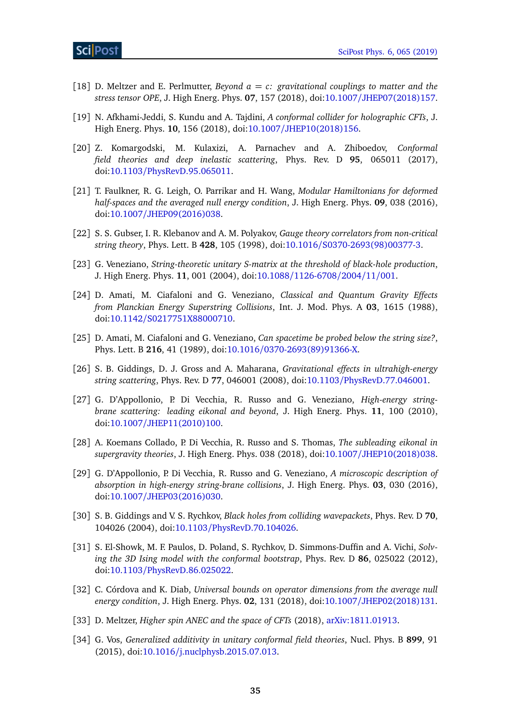- [18] D. Meltzer and E. Perlmutter, *Beyond a* = *c: gravitational couplings to matter and the stress tensor OPE*, J. High Energ. Phys. **07**, 157 (2018), doi:10.1007/[JHEP07\(2018\)157.](http://dx.doi.org/10.1007/JHEP07(2018)157)
- [19] N. Afkhami-Jeddi, S. Kundu and A. Tajdini, *A conformal collider for holographic CFTs*, J. High Energ. Phys. **10**, 156 (2018), doi:10.1007/[JHEP10\(2018\)156.](http://dx.doi.org/10.1007/JHEP10(2018)156)
- [20] Z. Komargodski, M. Kulaxizi, A. Parnachev and A. Zhiboedov, *Conformal field theories and deep inelastic scattering*, Phys. Rev. D **95**, 065011 (2017), doi:10.1103/[PhysRevD.95.065011.](http://dx.doi.org/10.1103/PhysRevD.95.065011)
- <span id="page-34-2"></span>[21] T. Faulkner, R. G. Leigh, O. Parrikar and H. Wang, *Modular Hamiltonians for deformed half-spaces and the averaged null energy condition*, J. High Energ. Phys. **09**, 038 (2016), doi:10.1007/[JHEP09\(2016\)038.](http://dx.doi.org/10.1007/JHEP09(2016)038)
- <span id="page-34-0"></span>[22] S. S. Gubser, I. R. Klebanov and A. M. Polyakov, *Gauge theory correlators from non-critical string theory*, Phys. Lett. B **428**, 105 (1998), doi:10.1016/[S0370-2693\(98\)00377-3.](http://dx.doi.org/10.1016/S0370-2693(98)00377-3)
- <span id="page-34-6"></span>[23] G. Veneziano, *String-theoretic unitary S-matrix at the threshold of black-hole production*, J. High Energ. Phys. **11**, 001 (2004), doi:10.1088/[1126-6708](http://dx.doi.org/10.1088/1126-6708/2004/11/001)/2004/11/001.
- [24] D. Amati, M. Ciafaloni and G. Veneziano, *Classical and Quantum Gravity Effects from Planckian Energy Superstring Collisions*, Int. J. Mod. Phys. A **03**, 1615 (1988), doi:10.1142/[S0217751X88000710.](http://dx.doi.org/10.1142/S0217751X88000710)
- [25] D. Amati, M. Ciafaloni and G. Veneziano, *Can spacetime be probed below the string size?*, Phys. Lett. B **216**, 41 (1989), doi:10.1016/[0370-2693\(89\)91366-X.](http://dx.doi.org/10.1016/0370-2693(89)91366-X)
- [26] S. B. Giddings, D. J. Gross and A. Maharana, *Gravitational effects in ultrahigh-energy string scattering*, Phys. Rev. D **77**, 046001 (2008), doi:10.1103/[PhysRevD.77.046001.](http://dx.doi.org/10.1103/PhysRevD.77.046001)
- [27] G. D'Appollonio, P. Di Vecchia, R. Russo and G. Veneziano, *High-energy stringbrane scattering: leading eikonal and beyond*, J. High Energ. Phys. **11**, 100 (2010), doi:10.1007/[JHEP11\(2010\)100.](http://dx.doi.org/10.1007/JHEP11(2010)100)
- [28] A. Koemans Collado, P. Di Vecchia, R. Russo and S. Thomas, *The subleading eikonal in supergravity theories*, J. High Energ. Phys. 038 (2018), doi:10.1007/[JHEP10\(2018\)038.](http://dx.doi.org/10.1007/JHEP10(2018)038)
- [29] G. D'Appollonio, P. Di Vecchia, R. Russo and G. Veneziano, *A microscopic description of absorption in high-energy string-brane collisions*, J. High Energ. Phys. **03**, 030 (2016), doi:10.1007/[JHEP03\(2016\)030.](http://dx.doi.org/10.1007/JHEP03(2016)030)
- <span id="page-34-7"></span>[30] S. B. Giddings and V. S. Rychkov, *Black holes from colliding wavepackets*, Phys. Rev. D **70**, 104026 (2004), doi:10.1103/[PhysRevD.70.104026.](http://dx.doi.org/10.1103/PhysRevD.70.104026)
- <span id="page-34-1"></span>[31] S. El-Showk, M. F. Paulos, D. Poland, S. Rychkov, D. Simmons-Duffin and A. Vichi, *Solving the 3D Ising model with the conformal bootstrap*, Phys. Rev. D **86**, 025022 (2012), doi:10.1103/[PhysRevD.86.025022.](http://dx.doi.org/10.1103/PhysRevD.86.025022)
- <span id="page-34-3"></span>[32] C. Córdova and K. Diab, *Universal bounds on operator dimensions from the average null energy condition*, J. High Energ. Phys. **02**, 131 (2018), doi:10.1007/[JHEP02\(2018\)131.](http://dx.doi.org/10.1007/JHEP02(2018)131)
- <span id="page-34-4"></span>[33] D. Meltzer, *Higher spin ANEC and the space of CFTs* (2018), [arXiv:1811.01913.](https://arxiv.org/abs/1811.01913)
- <span id="page-34-5"></span>[34] G. Vos, *Generalized additivity in unitary conformal field theories*, Nucl. Phys. B **899**, 91 (2015), doi:10.1016/[j.nuclphysb.2015.07.013.](http://dx.doi.org/10.1016/j.nuclphysb.2015.07.013)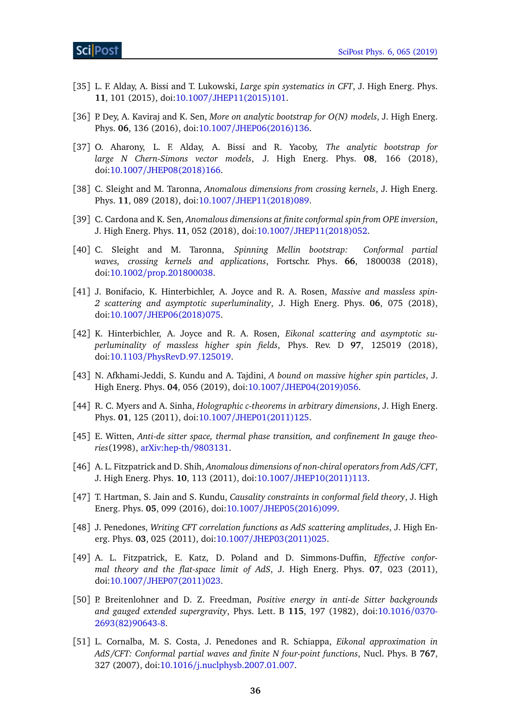- [35] L. F. Alday, A. Bissi and T. Lukowski, *Large spin systematics in CFT*, J. High Energ. Phys. **11**, 101 (2015), doi:10.1007/[JHEP11\(2015\)101.](http://dx.doi.org/10.1007/JHEP11(2015)101)
- [36] P. Dey, A. Kaviraj and K. Sen, *More on analytic bootstrap for O(N) models*, J. High Energ. Phys. **06**, 136 (2016), doi:10.1007/[JHEP06\(2016\)136.](http://dx.doi.org/10.1007/JHEP06(2016)136)
- [37] O. Aharony, L. F. Alday, A. Bissi and R. Yacoby, *The analytic bootstrap for large N Chern-Simons vector models*, J. High Energ. Phys. **08**, 166 (2018), doi:10.1007/[JHEP08\(2018\)166.](http://dx.doi.org/10.1007/JHEP08(2018)166)
- [38] C. Sleight and M. Taronna, *Anomalous dimensions from crossing kernels*, J. High Energ. Phys. **11**, 089 (2018), doi:10.1007/[JHEP11\(2018\)089.](http://dx.doi.org/10.1007/JHEP11(2018)089)
- [39] C. Cardona and K. Sen, *Anomalous dimensions at finite conformal spin from OPE inversion*, J. High Energ. Phys. **11**, 052 (2018), doi:10.1007/[JHEP11\(2018\)052.](http://dx.doi.org/10.1007/JHEP11(2018)052)
- <span id="page-35-5"></span>[40] C. Sleight and M. Taronna, *Spinning Mellin bootstrap: Conformal partial waves, crossing kernels and applications*, Fortschr. Phys. **66**, 1800038 (2018), doi:10.1002/[prop.201800038.](http://dx.doi.org/10.1002/prop.201800038)
- <span id="page-35-0"></span>[41] J. Bonifacio, K. Hinterbichler, A. Joyce and R. A. Rosen, *Massive and massless spin-2 scattering and asymptotic superluminality*, J. High Energ. Phys. **06**, 075 (2018), doi:10.1007/[JHEP06\(2018\)075.](http://dx.doi.org/10.1007/JHEP06(2018)075)
- [42] K. Hinterbichler, A. Joyce and R. A. Rosen, *Eikonal scattering and asymptotic superluminality of massless higher spin fields*, Phys. Rev. D **97**, 125019 (2018), doi:10.1103/[PhysRevD.97.125019.](http://dx.doi.org/10.1103/PhysRevD.97.125019)
- <span id="page-35-1"></span>[43] N. Afkhami-Jeddi, S. Kundu and A. Tajdini, *A bound on massive higher spin particles*, J. High Energ. Phys. **04**, 056 (2019), doi:10.1007/[JHEP04\(2019\)056.](http://dx.doi.org/10.1007/JHEP04(2019)056)
- [44] R. C. Myers and A. Sinha, *Holographic c-theorems in arbitrary dimensions*, J. High Energ. Phys. **01**, 125 (2011), doi:10.1007/[JHEP01\(2011\)125.](http://dx.doi.org/10.1007/JHEP01(2011)125)
- <span id="page-35-3"></span>[45] E. Witten, *Anti-de sitter space, thermal phase transition, and confinement In gauge theories*(1998), [arXiv:hep-th](https://arxiv.org/abs/hep-th/9803131)/9803131.
- [46] A. L. Fitzpatrick and D. Shih, *Anomalous dimensions of non-chiral operators from AdS/CFT*, J. High Energ. Phys. **10**, 113 (2011), doi:10.1007/[JHEP10\(2011\)113.](http://dx.doi.org/10.1007/JHEP10(2011)113)
- <span id="page-35-2"></span>[47] T. Hartman, S. Jain and S. Kundu, *Causality constraints in conformal field theory*, J. High Energ. Phys. **05**, 099 (2016), doi:10.1007/[JHEP05\(2016\)099.](http://dx.doi.org/10.1007/JHEP05(2016)099)
- <span id="page-35-6"></span>[48] J. Penedones, *Writing CFT correlation functions as AdS scattering amplitudes*, J. High Energ. Phys. **03**, 025 (2011), doi:10.1007/[JHEP03\(2011\)025.](http://dx.doi.org/10.1007/JHEP03(2011)025)
- <span id="page-35-7"></span>[49] A. L. Fitzpatrick, E. Katz, D. Poland and D. Simmons-Duffin, *Effective conformal theory and the flat-space limit of AdS*, J. High Energ. Phys. **07**, 023 (2011), doi:10.1007/[JHEP07\(2011\)023.](http://dx.doi.org/10.1007/JHEP07(2011)023)
- <span id="page-35-8"></span>[50] P. Breitenlohner and D. Z. Freedman, *Positive energy in anti-de Sitter backgrounds and gauged extended supergravity*, Phys. Lett. B **115**, 197 (1982), doi[:10.1016](http://dx.doi.org/10.1016/0370-2693(82)90643-8)/0370- [2693\(82\)90643-8.](http://dx.doi.org/10.1016/0370-2693(82)90643-8)
- <span id="page-35-4"></span>[51] L. Cornalba, M. S. Costa, J. Penedones and R. Schiappa, *Eikonal approximation in AdS/CFT: Conformal partial waves and finite N four-point functions*, Nucl. Phys. B **767**, 327 (2007), doi:10.1016/[j.nuclphysb.2007.01.007.](http://dx.doi.org/10.1016/j.nuclphysb.2007.01.007)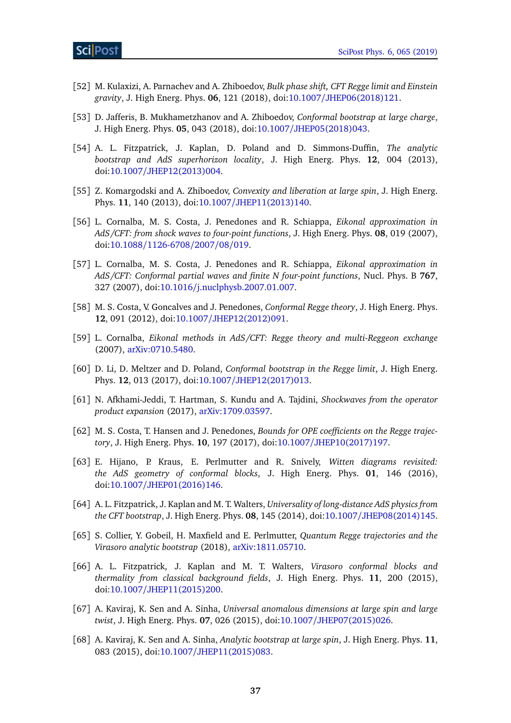- <span id="page-36-4"></span>[52] M. Kulaxizi, A. Parnachev and A. Zhiboedov, *Bulk phase shift, CFT Regge limit and Einstein gravity*, J. High Energ. Phys. **06**, 121 (2018), doi:10.1007/[JHEP06\(2018\)121.](http://dx.doi.org/10.1007/JHEP06(2018)121)
- <span id="page-36-7"></span>[53] D. Jafferis, B. Mukhametzhanov and A. Zhiboedov, *Conformal bootstrap at large charge*, J. High Energ. Phys. **05**, 043 (2018), doi:10.1007/[JHEP05\(2018\)043.](http://dx.doi.org/10.1007/JHEP05(2018)043)
- [54] A. L. Fitzpatrick, J. Kaplan, D. Poland and D. Simmons-Duffin, *The analytic bootstrap and AdS superhorizon locality*, J. High Energ. Phys. **12**, 004 (2013), doi:10.1007/[JHEP12\(2013\)004.](http://dx.doi.org/10.1007/JHEP12(2013)004)
- [55] Z. Komargodski and A. Zhiboedov, *Convexity and liberation at large spin*, J. High Energ. Phys. **11**, 140 (2013), doi:10.1007/[JHEP11\(2013\)140.](http://dx.doi.org/10.1007/JHEP11(2013)140)
- <span id="page-36-1"></span>[56] L. Cornalba, M. S. Costa, J. Penedones and R. Schiappa, *Eikonal approximation in AdS/CFT: from shock waves to four-point functions*, J. High Energ. Phys. **08**, 019 (2007), doi:10.1088/[1126-6708](http://dx.doi.org/10.1088/1126-6708/2007/08/019)/2007/08/019.
- [57] L. Cornalba, M. S. Costa, J. Penedones and R. Schiappa, *Eikonal approximation in AdS/CFT: Conformal partial waves and finite N four-point functions*, Nucl. Phys. B **767**, 327 (2007), doi:10.1016/[j.nuclphysb.2007.01.007.](http://dx.doi.org/10.1016/j.nuclphysb.2007.01.007)
- <span id="page-36-3"></span>[58] M. S. Costa, V. Goncalves and J. Penedones, *Conformal Regge theory*, J. High Energ. Phys. **12**, 091 (2012), doi:10.1007/[JHEP12\(2012\)091.](http://dx.doi.org/10.1007/JHEP12(2012)091)
- <span id="page-36-2"></span>[59] L. Cornalba, *Eikonal methods in AdS/CFT: Regge theory and multi-Reggeon exchange* (2007), [arXiv:0710.5480.](https://arxiv.org/abs/0710.5480)
- <span id="page-36-5"></span>[60] D. Li, D. Meltzer and D. Poland, *Conformal bootstrap in the Regge limit*, J. High Energ. Phys. **12**, 013 (2017), doi:10.1007/[JHEP12\(2017\)013.](http://dx.doi.org/10.1007/JHEP12(2017)013)
- [61] N. Afkhami-Jeddi, T. Hartman, S. Kundu and A. Tajdini, *Shockwaves from the operator product expansion* (2017), [arXiv:1709.03597.](https://arxiv.org/abs/1709.03597)
- <span id="page-36-6"></span>[62] M. S. Costa, T. Hansen and J. Penedones, *Bounds for OPE coefficients on the Regge trajectory*, J. High Energ. Phys. **10**, 197 (2017), doi:10.1007/[JHEP10\(2017\)197.](http://dx.doi.org/10.1007/JHEP10(2017)197)
- <span id="page-36-0"></span>[63] E. Hijano, P. Kraus, E. Perlmutter and R. Snively, *Witten diagrams revisited: the AdS geometry of conformal blocks*, J. High Energ. Phys. **01**, 146 (2016), doi:10.1007/[JHEP01\(2016\)146.](http://dx.doi.org/10.1007/JHEP01(2016)146)
- <span id="page-36-8"></span>[64] A. L. Fitzpatrick, J. Kaplan and M. T. Walters, *Universality of long-distance AdS physics from the CFT bootstrap*, J. High Energ. Phys. **08**, 145 (2014), doi:10.1007/[JHEP08\(2014\)145.](http://dx.doi.org/10.1007/JHEP08(2014)145)
- [65] S. Collier, Y. Gobeil, H. Maxfield and E. Perlmutter, *Quantum Regge trajectories and the Virasoro analytic bootstrap* (2018), [arXiv:1811.05710.](https://arxiv.org/abs/1811.05710)
- <span id="page-36-9"></span>[66] A. L. Fitzpatrick, J. Kaplan and M. T. Walters, *Virasoro conformal blocks and thermality from classical background fields*, J. High Energ. Phys. **11**, 200 (2015), doi:10.1007/[JHEP11\(2015\)200.](http://dx.doi.org/10.1007/JHEP11(2015)200)
- <span id="page-36-10"></span>[67] A. Kaviraj, K. Sen and A. Sinha, *Universal anomalous dimensions at large spin and large twist*, J. High Energ. Phys. **07**, 026 (2015), doi:10.1007/[JHEP07\(2015\)026.](http://dx.doi.org/10.1007/JHEP07(2015)026)
- <span id="page-36-11"></span>[68] A. Kaviraj, K. Sen and A. Sinha, *Analytic bootstrap at large spin*, J. High Energ. Phys. **11**, 083 (2015), doi:10.1007/[JHEP11\(2015\)083.](http://dx.doi.org/10.1007/JHEP11(2015)083)